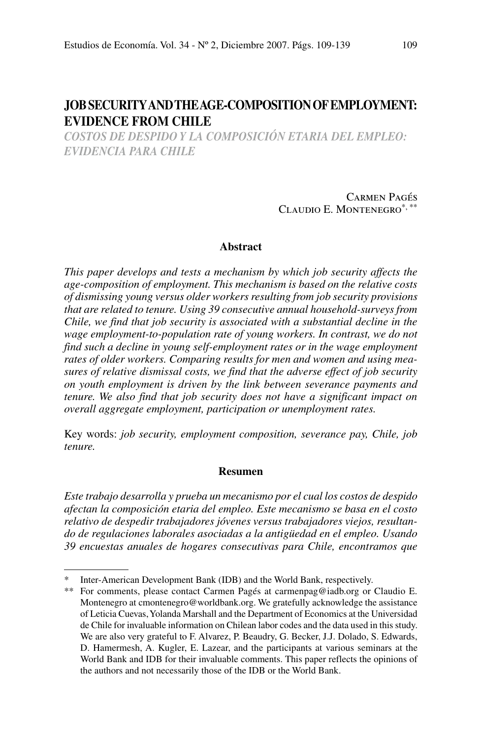# **Job Security and the Age-Composition of Employment: Evidence from Chile**

*costos de despido y la composición etaria del empleo: evidencia para chile*

> Carmen Pagés CLAUDIO E. MONTENEGRO<sup>\*,\*\*</sup>

## **Abstract**

*This paper develops and tests a mechanism by which job security affects the age-composition of employment. This mechanism is based on the relative costs of dismissing young versus older workers resulting from job security provisions that are related to tenure. Using 39 consecutive annual household-surveys from Chile, we find that job security is associated with a substantial decline in the wage employment-to-population rate of young workers. In contrast, we do not find such a decline in young self-employment rates or in the wage employment rates of older workers. Comparing results for men and women and using measures of relative dismissal costs, we find that the adverse effect of job security on youth employment is driven by the link between severance payments and tenure. We also find that job security does not have a significant impact on overall aggregate employment, participation or unemployment rates.*

Key words: *job security, employment composition, severance pay, Chile, job tenure.*

## **Resumen**

*Este trabajo desarrolla y prueba un mecanismo por el cual los costos de despido afectan la composición etaria del empleo. Este mecanismo se basa en el costo relativo de despedir trabajadores jóvenes versus trabajadores viejos, resultando de regulaciones laborales asociadas a la antigüedad en el empleo. Usando 39 encuestas anuales de hogares consecutivas para Chile, encontramos que* 

<sup>\*</sup> Inter-American Development Bank (IDB) and the World Bank, respectively.

<sup>\*\*</sup> For comments, please contact Carmen Pagés at carmenpag@iadb.org or Claudio E. Montenegro at cmontenegro@worldbank.org. We gratefully acknowledge the assistance of Leticia Cuevas, Yolanda Marshall and the Department of Economics at the Universidad de Chile for invaluable information on Chilean labor codes and the data used in this study. We are also very grateful to F. Alvarez, P. Beaudry, G. Becker, J.J. Dolado, S. Edwards, D. Hamermesh, A. Kugler, E. Lazear, and the participants at various seminars at the World Bank and IDB for their invaluable comments. This paper reflects the opinions of the authors and not necessarily those of the IDB or the World Bank.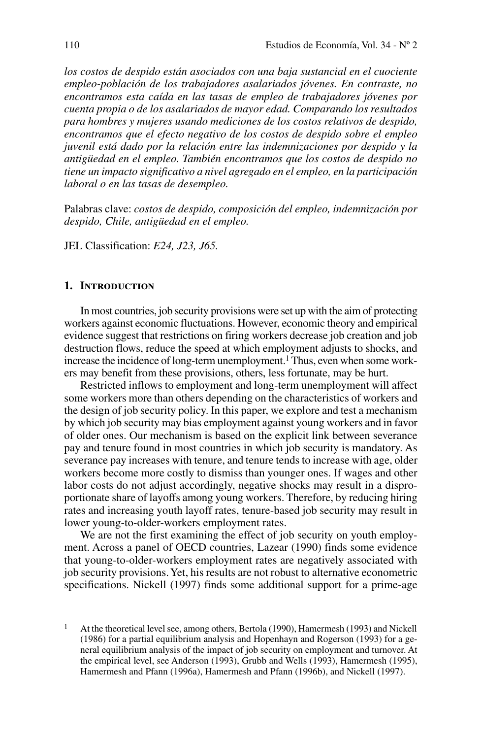*los costos de despido están asociados con una baja sustancial en el cuociente empleo-población de los trabajadores asalariados jóvenes. En contraste, no encontramos esta caída en las tasas de empleo de trabajadores jóvenes por cuenta propia o de los asalariados de mayor edad. Comparando los resultados para hombres y mujeres usando mediciones de los costos relativos de despido, encontramos que el efecto negativo de los costos de despido sobre el empleo juvenil está dado por la relación entre las indemnizaciones por despido y la antigüedad en el empleo. También encontramos que los costos de despido no tiene un impacto significativo a nivel agregado en el empleo, en la participación laboral o en las tasas de desempleo.*

Palabras clave: *costos de despido, composición del empleo, indemnización por despido, Chile, antigüedad en el empleo.*

JEL Classification: *E24, J23, J65.*

#### **1. Introduction**

In most countries, job security provisions were set up with the aim of protecting workers against economic fluctuations. However, economic theory and empirical evidence suggest that restrictions on firing workers decrease job creation and job destruction flows, reduce the speed at which employment adjusts to shocks, and increase the incidence of long-term unemployment.<sup>1</sup> Thus, even when some workers may benefit from these provisions, others, less fortunate, may be hurt.

Restricted inflows to employment and long-term unemployment will affect some workers more than others depending on the characteristics of workers and the design of job security policy. In this paper, we explore and test a mechanism by which job security may bias employment against young workers and in favor of older ones. Our mechanism is based on the explicit link between severance pay and tenure found in most countries in which job security is mandatory. As severance pay increases with tenure, and tenure tends to increase with age, older workers become more costly to dismiss than younger ones. If wages and other labor costs do not adjust accordingly, negative shocks may result in a disproportionate share of layoffs among young workers. Therefore, by reducing hiring rates and increasing youth layoff rates, tenure-based job security may result in lower young-to-older-workers employment rates.

We are not the first examining the effect of job security on youth employment. Across a panel of OECD countries, Lazear (1990) finds some evidence that young-to-older-workers employment rates are negatively associated with job security provisions. Yet, his results are not robust to alternative econometric specifications. Nickell (1997) finds some additional support for a prime-age

At the theoretical level see, among others, Bertola (1990), Hamermesh (1993) and Nickell (1986) for a partial equilibrium analysis and Hopenhayn and Rogerson (1993) for a general equilibrium analysis of the impact of job security on employment and turnover. At the empirical level, see Anderson (1993), Grubb and Wells (1993), Hamermesh (1995), Hamermesh and Pfann (1996a), Hamermesh and Pfann (1996b), and Nickell (1997).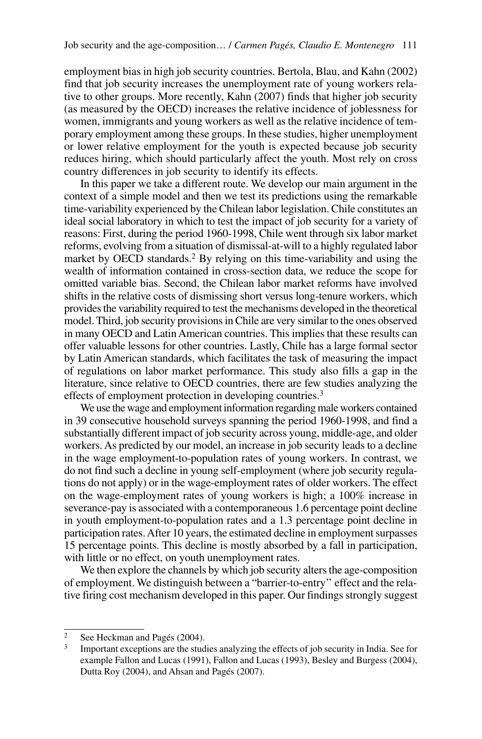employment bias in high job security countries. Bertola, Blau, and Kahn (2002) find that job security increases the unemployment rate of young workers relative to other groups. More recently, Kahn (2007) finds that higher job security (as measured by the OECD) increases the relative incidence of joblessness for women, immigrants and young workers as well as the relative incidence of temporary employment among these groups. In these studies, higher unemployment or lower relative employment for the youth is expected because job security reduces hiring, which should particularly affect the youth. Most rely on cross country differences in job security to identify its effects.

In this paper we take a different route. We develop our main argument in the context of a simple model and then we test its predictions using the remarkable time-variability experienced by the Chilean labor legislation. Chile constitutes an ideal social laboratory in which to test the impact of job security for a variety of reasons: First, during the period 1960-1998, Chile went through six labor market reforms, evolving from a situation of dismissal-at-will to a highly regulated labor market by OECD standards.<sup>2</sup> By relying on this time-variability and using the wealth of information contained in cross-section data, we reduce the scope for omitted variable bias. Second, the Chilean labor market reforms have involved shifts in the relative costs of dismissing short versus long-tenure workers, which provides the variability required to test the mechanisms developed in the theoretical model. Third, job security provisions in Chile are very similar to the ones observed in many OECD and Latin American countries. This implies that these results can offer valuable lessons for other countries. Lastly, Chile has a large formal sector by Latin American standards, which facilitates the task of measuring the impact of regulations on labor market performance. This study also fills a gap in the literature, since relative to OECD countries, there are few studies analyzing the effects of employment protection in developing countries.3

We use the wage and employment information regarding male workers contained in 39 consecutive household surveys spanning the period 1960-1998, and find a substantially different impact of job security across young, middle-age, and older workers. As predicted by our model, an increase in job security leads to a decline in the wage employment-to-population rates of young workers. In contrast, we do not find such a decline in young self-employment (where job security regulations do not apply) or in the wage-employment rates of older workers. The effect on the wage-employment rates of young workers is high; a 100% increase in severance-pay is associated with a contemporaneous 1.6 percentage point decline in youth employment-to-population rates and a 1.3 percentage point decline in participation rates. After 10 years, the estimated decline in employment surpasses 15 percentage points. This decline is mostly absorbed by a fall in participation, with little or no effect, on youth unemployment rates.

We then explore the channels by which job security alters the age-composition of employment. We distinguish between a "barrier-to-entry'' effect and the relative firing cost mechanism developed in this paper. Our findings strongly suggest

<sup>&</sup>lt;sup>2</sup> See Heckman and Pagés (2004).<br><sup>3</sup> Important examples are the stud

Important exceptions are the studies analyzing the effects of job security in India. See for example Fallon and Lucas (1991), Fallon and Lucas (1993), Besley and Burgess (2004), Dutta Roy (2004), and Ahsan and Pagés (2007).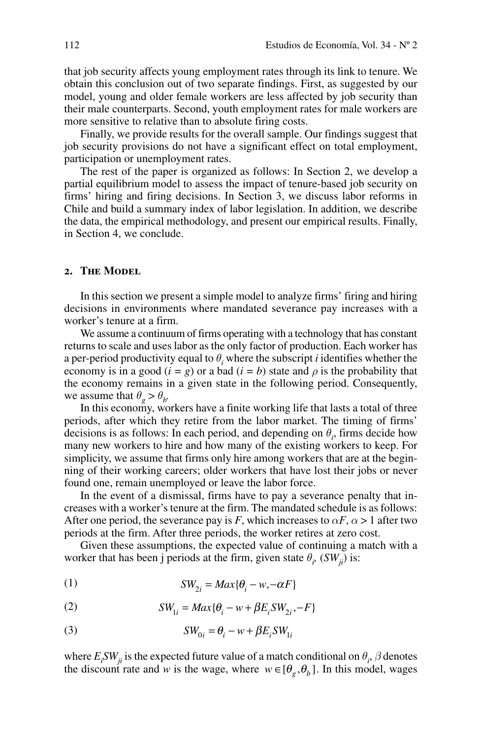that job security affects young employment rates through its link to tenure. We obtain this conclusion out of two separate findings. First, as suggested by our model, young and older female workers are less affected by job security than their male counterparts. Second, youth employment rates for male workers are more sensitive to relative than to absolute firing costs.

Finally, we provide results for the overall sample. Our findings suggest that job security provisions do not have a significant effect on total employment, participation or unemployment rates.

The rest of the paper is organized as follows: In Section 2, we develop a partial equilibrium model to assess the impact of tenure-based job security on firms' hiring and firing decisions. In Section 3, we discuss labor reforms in Chile and build a summary index of labor legislation. In addition, we describe the data, the empirical methodology, and present our empirical results. Finally, in Section 4, we conclude.

#### **2. The Model**

In this section we present a simple model to analyze firms' firing and hiring decisions in environments where mandated severance pay increases with a worker's tenure at a firm.

We assume a continuum of firms operating with a technology that has constant returns to scale and uses labor as the only factor of production. Each worker has a per-period productivity equal to  $\theta$ <sup>*i*</sup> where the subscript *i* identifies whether the economy is in a good ( $i = g$ ) or a bad ( $i = b$ ) state and  $\rho$  is the probability that the economy remains in a given state in the following period. Consequently, we assume that  $\theta_{\varrho} > \theta_{\varrho}$ .

In this economy, workers have a finite working life that lasts a total of three periods, after which they retire from the labor market. The timing of firms' decisions is as follows: In each period, and depending on  $\theta_i$ , firms decide how many new workers to hire and how many of the existing workers to keep. For simplicity, we assume that firms only hire among workers that are at the beginning of their working careers; older workers that have lost their jobs or never found one, remain unemployed or leave the labor force.

In the event of a dismissal, firms have to pay a severance penalty that increases with a worker's tenure at the firm. The mandated schedule is as follows: After one period, the severance pay is *F*, which increases to  $\alpha F$ ,  $\alpha > 1$  after two periods at the firm. After three periods, the worker retires at zero cost.

Given these assumptions, the expected value of continuing a match with a worker that has been j periods at the firm, given state  $\theta_i$ ,  $(SW_{ji})$  is:

(1) 
$$
SW_{2i} = Max\{\theta_i - w, -\alpha F\}
$$

(2) 
$$
SW_{1i} = Max\{\theta_i - w + \beta E_i SW_{2i}, -F\}
$$

(3) 
$$
SW_{0i} = \theta_i - w + \beta E_i SW_{1i}
$$

where  $E_iSW_{ji}$  is the expected future value of a match conditional on  $\theta_i$ ,  $\beta$  denotes the discount rate and *w* is the wage, where  $w \in [\theta_{\rho}, \theta_{h}]$ . In this model, wages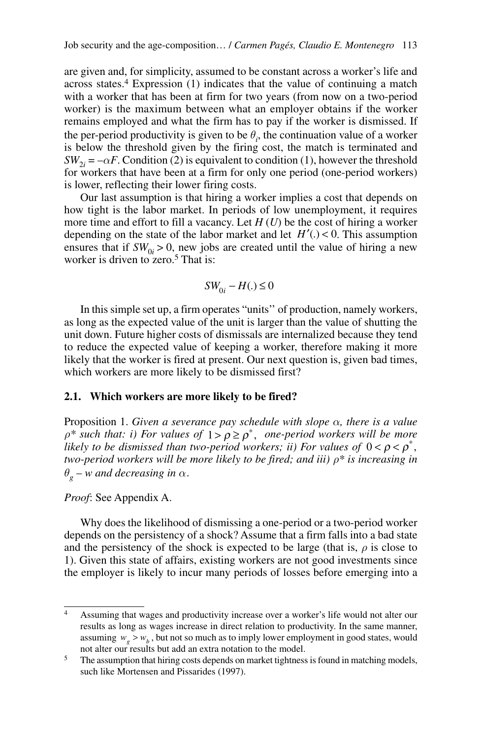are given and, for simplicity, assumed to be constant across a worker's life and across states.<sup>4</sup> Expression  $(1)$  indicates that the value of continuing a match with a worker that has been at firm for two years (from now on a two-period worker) is the maximum between what an employer obtains if the worker remains employed and what the firm has to pay if the worker is dismissed. If the per-period productivity is given to be  $\theta_i$ , the continuation value of a worker is below the threshold given by the firing cost, the match is terminated and  $SW_{2i} = -\alpha F$ . Condition (2) is equivalent to condition (1), however the threshold for workers that have been at a firm for only one period (one-period workers) is lower, reflecting their lower firing costs.

Our last assumption is that hiring a worker implies a cost that depends on how tight is the labor market. In periods of low unemployment, it requires more time and effort to fill a vacancy. Let *H* (*U*) be the cost of hiring a worker depending on the state of the labor market and let  $H'(.) < 0$ . This assumption ensures that if  $SW_{0i} > 0$ , new jobs are created until the value of hiring a new worker is driven to zero.<sup>5</sup> That is:

$$
SW_{0i} - H(.) \le 0
$$

In this simple set up, a firm operates "units'' of production, namely workers, as long as the expected value of the unit is larger than the value of shutting the unit down. Future higher costs of dismissals are internalized because they tend to reduce the expected value of keeping a worker, therefore making it more likely that the worker is fired at present. Our next question is, given bad times, which workers are more likely to be dismissed first?

## **2.1. Which workers are more likely to be fired?**

Proposition 1. *Given a severance pay schedule with slope α, there is a value*   $\rho^*$  such that: i) For values of  $1 > \rho \ge \rho^*$ , one-period workers will be more *likely to be dismissed than two-period workers; ii) For values of*  $0 < \rho < \rho^*$ , *two-period workers will be more likely to be fired; and iii) ρ<sup>\*</sup> is increasing in*  $\theta$ <sup>*g*</sup> – *w* and decreasing in  $\alpha$ .

*Proof*: See Appendix A.

Why does the likelihood of dismissing a one-period or a two-period worker depends on the persistency of a shock? Assume that a firm falls into a bad state and the persistency of the shock is expected to be large (that is,  $\rho$  is close to 1). Given this state of affairs, existing workers are not good investments since the employer is likely to incur many periods of losses before emerging into a

<sup>4</sup> Assuming that wages and productivity increase over a worker's life would not alter our results as long as wages increase in direct relation to productivity. In the same manner, assuming  $w_a > w_b$ , but not so much as to imply lower employment in good states, would not alter our results but add an extra notation to the model.

<sup>&</sup>lt;sup>5</sup> The assumption that hiring costs depends on market tightness is found in matching models, such like Mortensen and Pissarides (1997).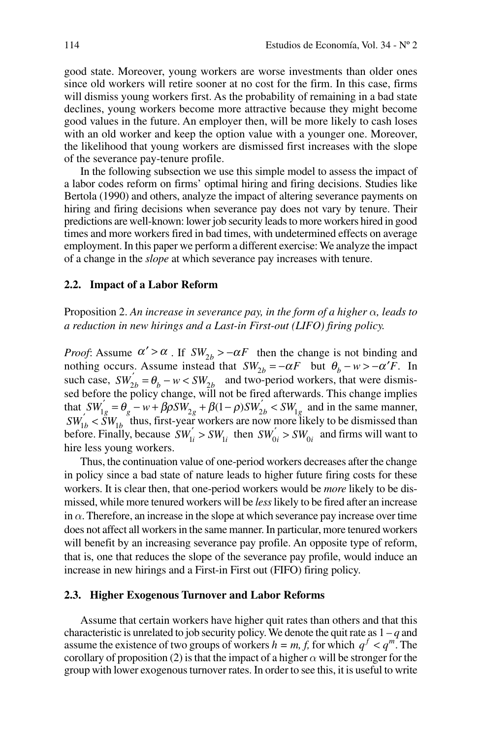good state. Moreover, young workers are worse investments than older ones since old workers will retire sooner at no cost for the firm. In this case, firms will dismiss young workers first. As the probability of remaining in a bad state declines, young workers become more attractive because they might become good values in the future. An employer then, will be more likely to cash loses with an old worker and keep the option value with a younger one. Moreover, the likelihood that young workers are dismissed first increases with the slope of the severance pay-tenure profile.

In the following subsection we use this simple model to assess the impact of a labor codes reform on firms' optimal hiring and firing decisions. Studies like Bertola (1990) and others, analyze the impact of altering severance payments on hiring and firing decisions when severance pay does not vary by tenure. Their predictions are well-known: lower job security leads to more workers hired in good times and more workers fired in bad times, with undetermined effects on average employment. In this paper we perform a different exercise: We analyze the impact of a change in the *slope* at which severance pay increases with tenure.

## **2.2. Impact of a Labor Reform**

Proposition 2. *An increase in severance pay, in the form of a higher α, leads to a reduction in new hirings and a Last-in First-out (LIFO) firing policy.*

*Proof:* Assume  $\alpha' > \alpha$ . If  $SW_{2h} > -\alpha F$  then the change is not binding and nothing occurs. Assume instead that  $SW_{2h} = -\alpha F$  but  $\theta_h - w > -\alpha' F$ . In such case,  $SW'_{2b} = \theta_b - w < SW'_{2b}$  and two-period workers, that were dismissed before the policy change, will not be fired afterwards. This change implies that  $SW'_{1g} = \theta_g - w + \beta \rho SW_{2g} + \beta (1 - \rho) SW'_{2b} < SW_{1g}$  and in the same manner,  $SW_{1b}$   $\langle SW_{1b} \rangle$  <sup>o</sup>thus, first-year workers are now more likely to be dismissed than before. Finally, because  $SW_{1i} > SW_{1i}$  then  $SW_{0i} > SW_{0i}$  and firms will want to hire less young workers.

Thus, the continuation value of one-period workers decreases after the change in policy since a bad state of nature leads to higher future firing costs for these workers. It is clear then, that one-period workers would be *more* likely to be dismissed, while more tenured workers will be *less* likely to be fired after an increase in  $\alpha$ . Therefore, an increase in the slope at which severance pay increase over time does not affect all workers in the same manner. In particular, more tenured workers will benefit by an increasing severance pay profile. An opposite type of reform, that is, one that reduces the slope of the severance pay profile, would induce an increase in new hirings and a First-in First out (FIFO) firing policy.

#### **2.3. Higher Exogenous Turnover and Labor Reforms**

Assume that certain workers have higher quit rates than others and that this characteristic is unrelated to job security policy. We denote the quit rate as  $1 - q$  and assume the existence of two groups of workers  $h = m$ , f, for which  $q^f < q^m$ . The corollary of proposition (2) is that the impact of a higher  $\alpha$  will be stronger for the group with lower exogenous turnover rates. In order to see this, it is useful to write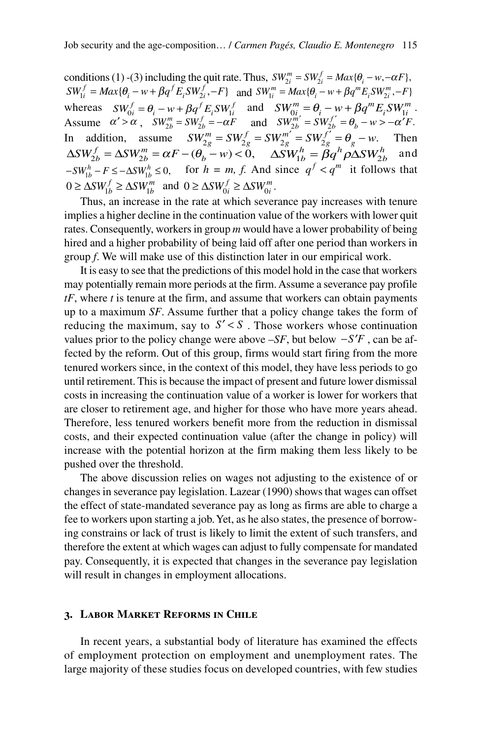conditions (1) -(3) including the quit rate. Thus,  $SW_{2i}^{m} = SW_{2i}^{f} = Max{\theta_i - w, -\alpha F}$ ,  $SW_{1i}^f = Max\{\theta_i - w + \beta q^f E_i SW_{2i}^f, -F\}$  and  $SW_{1i}^m = Max\{\theta_i - w + \beta q^m E_i SW_{2i}^m, -F\}$ whereas  $SW_{0i}^f = \theta_i - w + \beta q^f E_i SW_{1i}^f$  and  $SW_{0i}^m = \theta_i - w + \beta q^m E_i SW_{1i}^m$ . Assume  $\alpha' > \alpha$ ,  $SW_{2b}^m = SW_{2b}^f = -\alpha F$  and  $SW_{2b}^{m'} = SW_{2b}^f = \theta_b - w > -\alpha'F$ . In addition, assume  $SW_{2g}^{m} = SW_{2g}^{f} = SW_{2g}^{m'} = SW_{2g}^{f'} = \theta_g - w$ . Then  $\Delta SW_{2b}^f = \Delta SW_{2b}^m = \alpha F - (\theta_b^p - w) < 0, \quad \Delta SW_{1b}^h = \beta q^h \rho \Delta SW_{2b}^h$  and  $-SW_{1b}^h - F \le -\Delta SW_{1b}^h \le 0$ , for  $h = m$ , f. And since  $q^f < q^m$  it follows that  $0 \ge \Delta SW_{1b}^f \ge \Delta SW_{1b}^m$  and  $0 \ge \Delta SW_{0i}^f \ge \Delta SW_{0i}^m$ .

Thus, an increase in the rate at which severance pay increases with tenure implies a higher decline in the continuation value of the workers with lower quit rates. Consequently, workers in group *m* would have a lower probability of being hired and a higher probability of being laid off after one period than workers in group *f*. We will make use of this distinction later in our empirical work.

It is easy to see that the predictions of this model hold in the case that workers may potentially remain more periods at the firm. Assume a severance pay profile *tF*, where *t* is tenure at the firm, and assume that workers can obtain payments up to a maximum *SF*. Assume further that a policy change takes the form of reducing the maximum, say to  $S' < S$ . Those workers whose continuation values prior to the policy change were above  $-SF$ , but below  $-S'F$ , can be affected by the reform. Out of this group, firms would start firing from the more tenured workers since, in the context of this model, they have less periods to go until retirement. This is because the impact of present and future lower dismissal costs in increasing the continuation value of a worker is lower for workers that are closer to retirement age, and higher for those who have more years ahead. Therefore, less tenured workers benefit more from the reduction in dismissal costs, and their expected continuation value (after the change in policy) will increase with the potential horizon at the firm making them less likely to be pushed over the threshold.

The above discussion relies on wages not adjusting to the existence of or changes in severance pay legislation. Lazear (1990) shows that wages can offset the effect of state-mandated severance pay as long as firms are able to charge a fee to workers upon starting a job. Yet, as he also states, the presence of borrowing constrains or lack of trust is likely to limit the extent of such transfers, and therefore the extent at which wages can adjust to fully compensate for mandated pay. Consequently, it is expected that changes in the severance pay legislation will result in changes in employment allocations.

## **3. Labor Market Reforms in Chile**

In recent years, a substantial body of literature has examined the effects of employment protection on employment and unemployment rates. The large majority of these studies focus on developed countries, with few studies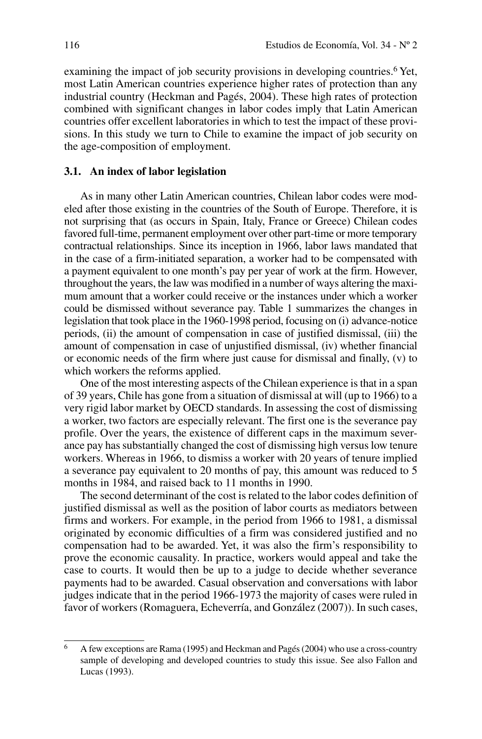examining the impact of job security provisions in developing countries.<sup>6</sup> Yet, most Latin American countries experience higher rates of protection than any industrial country (Heckman and Pagés, 2004). These high rates of protection combined with significant changes in labor codes imply that Latin American countries offer excellent laboratories in which to test the impact of these provisions. In this study we turn to Chile to examine the impact of job security on the age-composition of employment.

## **3.1. An index of labor legislation**

As in many other Latin American countries, Chilean labor codes were modeled after those existing in the countries of the South of Europe. Therefore, it is not surprising that (as occurs in Spain, Italy, France or Greece) Chilean codes favored full-time, permanent employment over other part-time or more temporary contractual relationships. Since its inception in 1966, labor laws mandated that in the case of a firm-initiated separation, a worker had to be compensated with a payment equivalent to one month's pay per year of work at the firm. However, throughout the years, the law was modified in a number of ways altering the maximum amount that a worker could receive or the instances under which a worker could be dismissed without severance pay. Table 1 summarizes the changes in legislation that took place in the 1960-1998 period, focusing on (i) advance-notice periods, (ii) the amount of compensation in case of justified dismissal, (iii) the amount of compensation in case of unjustified dismissal, (iv) whether financial or economic needs of the firm where just cause for dismissal and finally, (v) to which workers the reforms applied.

One of the most interesting aspects of the Chilean experience is that in a span of 39 years, Chile has gone from a situation of dismissal at will (up to 1966) to a very rigid labor market by OECD standards. In assessing the cost of dismissing a worker, two factors are especially relevant. The first one is the severance pay profile. Over the years, the existence of different caps in the maximum severance pay has substantially changed the cost of dismissing high versus low tenure workers. Whereas in 1966, to dismiss a worker with 20 years of tenure implied a severance pay equivalent to 20 months of pay, this amount was reduced to 5 months in 1984, and raised back to 11 months in 1990.

The second determinant of the cost is related to the labor codes definition of justified dismissal as well as the position of labor courts as mediators between firms and workers. For example, in the period from 1966 to 1981, a dismissal originated by economic difficulties of a firm was considered justified and no compensation had to be awarded. Yet, it was also the firm's responsibility to prove the economic causality. In practice, workers would appeal and take the case to courts. It would then be up to a judge to decide whether severance payments had to be awarded. Casual observation and conversations with labor judges indicate that in the period 1966-1973 the majority of cases were ruled in favor of workers (Romaguera, Echeverría, and González (2007)). In such cases,

<sup>6</sup> A few exceptions are Rama (1995) and Heckman and Pagés (2004) who use a cross-country sample of developing and developed countries to study this issue. See also Fallon and Lucas (1993).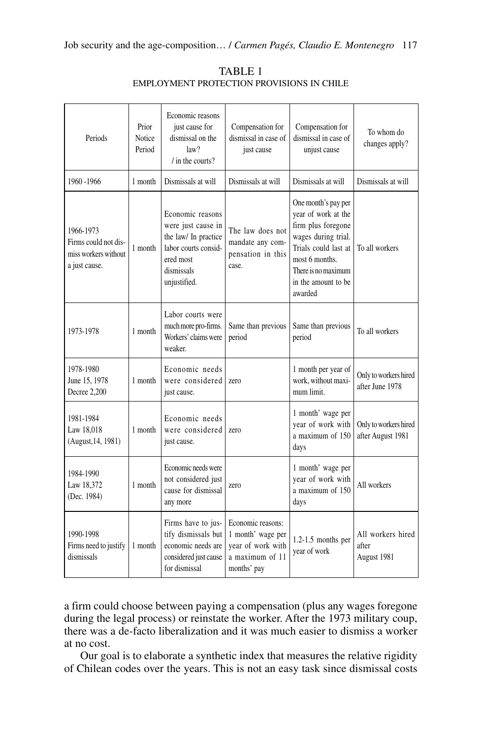| Periods                                                                    | Prior<br>Notice<br>Period | Economic reasons<br>just cause for<br>dismissal on the<br>law <sup>2</sup><br>/ in the courts?                                    | Compensation for<br>dismissal in case of<br>just cause                                        | Compensation for<br>dismissal in case of<br>uniust cause                                                                                                                                   | To whom do<br>changes apply?               |
|----------------------------------------------------------------------------|---------------------------|-----------------------------------------------------------------------------------------------------------------------------------|-----------------------------------------------------------------------------------------------|--------------------------------------------------------------------------------------------------------------------------------------------------------------------------------------------|--------------------------------------------|
| 1960 - 1966                                                                | 1 month                   | Dismissals at will                                                                                                                | Dismissals at will                                                                            | Dismissals at will                                                                                                                                                                         | Dismissals at will                         |
| 1966-1973<br>Firms could not dis-<br>miss workers without<br>a just cause. | 1 month                   | Economic reasons<br>were just cause in<br>the law/ In practice<br>labor courts consid-<br>ered most<br>dismissals<br>unjustified. | The law does not<br>mandate any com-<br>pensation in this<br>case.                            | One month's pay per<br>year of work at the<br>firm plus foregone<br>wages during trial.<br>Trials could last at<br>most 6 months.<br>There is no maximum<br>in the amount to be<br>awarded | To all workers                             |
| 1973-1978                                                                  | 1 month                   | Labor courts were<br>much more pro-firms.<br>Workers' claims were<br>weaker.                                                      | Same than previous<br>period                                                                  | Same than previous<br>period                                                                                                                                                               | To all workers                             |
| 1978-1980<br>June 15, 1978<br>Decree 2,200                                 | 1 month                   | Economic needs<br>were considered<br>just cause.                                                                                  | 1 month per year of<br>work, without maxi-<br>zero<br>mum limit.                              |                                                                                                                                                                                            | Only to workers hired<br>after June 1978   |
| 1981-1984<br>Law 18,018<br>(August, 14, 1981)                              | 1 month                   | Economic needs<br>were considered<br>just cause.                                                                                  | zero                                                                                          | 1 month' wage per<br>year of work with<br>a maximum of 150<br>days                                                                                                                         | Only to workers hired<br>after August 1981 |
| 1984-1990<br>Law 18,372<br>(Dec. 1984)                                     | 1 month                   | Economic needs were<br>not considered just<br>cause for dismissal<br>any more                                                     | zero                                                                                          | 1 month' wage per<br>year of work with<br>a maximum of 150<br>days                                                                                                                         | All workers                                |
| 1990-1998<br>Firms need to justify<br>dismissals                           | 1 month                   | Firms have to jus-<br>tify dismissals but<br>economic needs are<br>considered just cause<br>for dismissal                         | Economic reasons:<br>1 month' wage per<br>year of work with<br>a maximum of 11<br>months' pay | $1.2 - 1.5$ months per<br>year of work                                                                                                                                                     | All workers hired<br>after<br>August 1981  |

TABLE 1 Employment Protection Provisions in Chile

a firm could choose between paying a compensation (plus any wages foregone during the legal process) or reinstate the worker. After the 1973 military coup, there was a de-facto liberalization and it was much easier to dismiss a worker at no cost.

Our goal is to elaborate a synthetic index that measures the relative rigidity of Chilean codes over the years. This is not an easy task since dismissal costs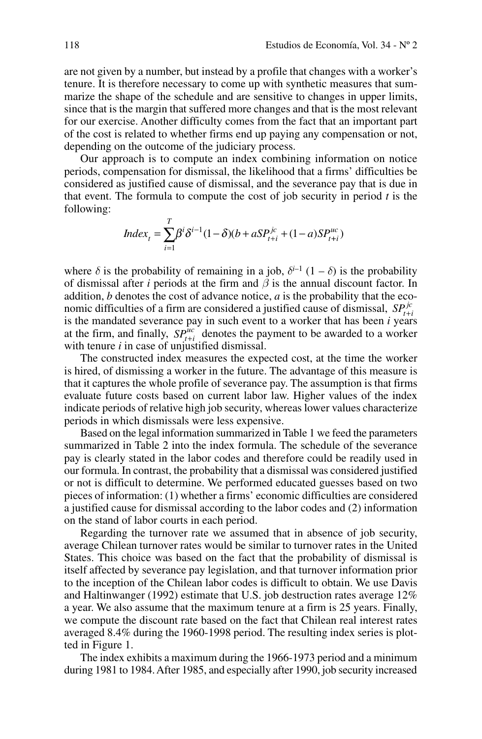are not given by a number, but instead by a profile that changes with a worker's tenure. It is therefore necessary to come up with synthetic measures that summarize the shape of the schedule and are sensitive to changes in upper limits, since that is the margin that suffered more changes and that is the most relevant for our exercise. Another difficulty comes from the fact that an important part of the cost is related to whether firms end up paying any compensation or not, depending on the outcome of the judiciary process.

Our approach is to compute an index combining information on notice periods, compensation for dismissal, the likelihood that a firms' difficulties be considered as justified cause of dismissal, and the severance pay that is due in that event. The formula to compute the cost of job security in period *t* is the following:

$$
Index_{t} = \sum_{i=1}^{T} \beta^{i} \delta^{i-1} (1 - \delta)(b + aSP_{t+i}^{jc} + (1 - a)SP_{t+i}^{uc})
$$

where  $\delta$  is the probability of remaining in a job,  $\delta^{i-1}$  (1 –  $\delta$ ) is the probability of dismissal after *i* periods at the firm and *β* is the annual discount factor. In addition, *b* denotes the cost of advance notice, *a* is the probability that the economic difficulties of a firm are considered a justified cause of dismissal,  $SP_{t+i}^{j\bar{c}}$ + is the mandated severance pay in such event to a worker that has been *i* years at the firm, and finally,  $SP_{t+i}^{inc}$  denotes the payment to be awarded to a worker with tenure *i* in case of unjustified dismissal.

The constructed index measures the expected cost, at the time the worker is hired, of dismissing a worker in the future. The advantage of this measure is that it captures the whole profile of severance pay. The assumption is that firms evaluate future costs based on current labor law. Higher values of the index indicate periods of relative high job security, whereas lower values characterize periods in which dismissals were less expensive.

Based on the legal information summarized in Table 1 we feed the parameters summarized in Table 2 into the index formula. The schedule of the severance pay is clearly stated in the labor codes and therefore could be readily used in our formula. In contrast, the probability that a dismissal was considered justified or not is difficult to determine. We performed educated guesses based on two pieces of information: (1) whether a firms' economic difficulties are considered a justified cause for dismissal according to the labor codes and (2) information on the stand of labor courts in each period.

Regarding the turnover rate we assumed that in absence of job security, average Chilean turnover rates would be similar to turnover rates in the United States. This choice was based on the fact that the probability of dismissal is itself affected by severance pay legislation, and that turnover information prior to the inception of the Chilean labor codes is difficult to obtain. We use Davis and Haltinwanger (1992) estimate that U.S. job destruction rates average 12% a year. We also assume that the maximum tenure at a firm is 25 years. Finally, we compute the discount rate based on the fact that Chilean real interest rates averaged 8.4% during the 1960-1998 period. The resulting index series is plotted in Figure 1.

The index exhibits a maximum during the 1966-1973 period and a minimum during 1981 to 1984. After 1985, and especially after 1990, job security increased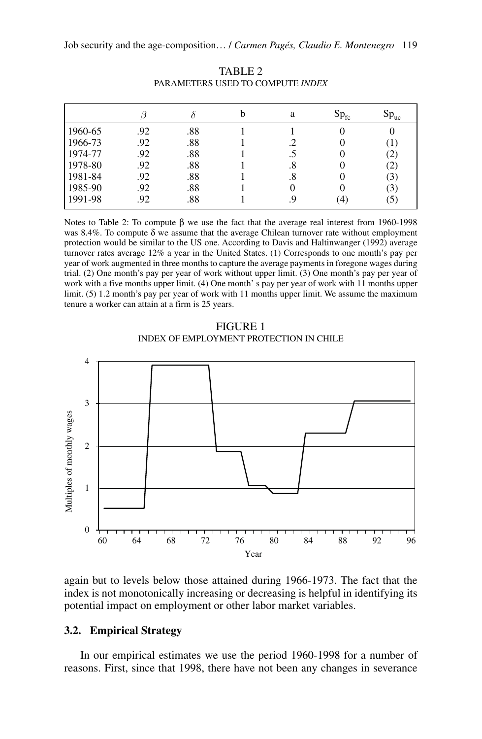|         |     |     | b | a  | $Sp_{fc}$ | $Sp_{uc}$         |
|---------|-----|-----|---|----|-----------|-------------------|
| 1960-65 | .92 | .88 |   |    |           |                   |
| 1966-73 | .92 | .88 |   |    |           | $\left(1\right)$  |
| 1974-77 | .92 | .88 |   | د. |           | $\left( 2\right)$ |
| 1978-80 | .92 | .88 |   | .8 |           | $\left( 2\right)$ |
| 1981-84 | .92 | .88 |   | .8 |           | 3)                |
| 1985-90 | .92 | .88 |   | 0  |           | 3)                |
| 1991-98 | .92 | .88 |   | .9 | (4)       | 5)                |

TABLE 2 Parameters used to compute *Index*

Notes to Table 2: To compute β we use the fact that the average real interest from 1960-1998 was 8.4%. To compute δ we assume that the average Chilean turnover rate without employment protection would be similar to the US one. According to Davis and Haltinwanger (1992) average turnover rates average 12% a year in the United States. (1) Corresponds to one month's pay per year of work augmented in three months to capture the average payments in foregone wages during trial. (2) One month's pay per year of work without upper limit. (3) One month's pay per year of work with a five months upper limit. (4) One month' s pay per year of work with 11 months upper limit. (5) 1.2 month's pay per year of work with 11 months upper limit. We assume the maximum tenure a worker can attain at a firm is 25 years.

FIGURE 1 INDEX OF EMPLOYMENT PROTECTION IN CHILE



again but to levels below those attained during 1966-1973. The fact that the index is not monotonically increasing or decreasing is helpful in identifying its potential impact on employment or other labor market variables.

#### **3.2. Empirical Strategy**

In our empirical estimates we use the period 1960-1998 for a number of reasons. First, since that 1998, there have not been any changes in severance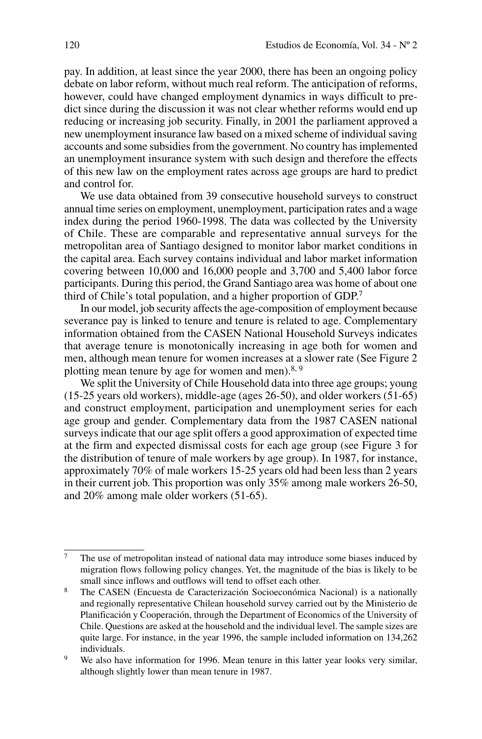pay. In addition, at least since the year 2000, there has been an ongoing policy debate on labor reform, without much real reform. The anticipation of reforms, however, could have changed employment dynamics in ways difficult to predict since during the discussion it was not clear whether reforms would end up reducing or increasing job security. Finally, in 2001 the parliament approved a new unemployment insurance law based on a mixed scheme of individual saving accounts and some subsidies from the government. No country has implemented an unemployment insurance system with such design and therefore the effects of this new law on the employment rates across age groups are hard to predict and control for.

We use data obtained from 39 consecutive household surveys to construct annual time series on employment, unemployment, participation rates and a wage index during the period 1960-1998. The data was collected by the University of Chile. These are comparable and representative annual surveys for the metropolitan area of Santiago designed to monitor labor market conditions in the capital area. Each survey contains individual and labor market information covering between 10,000 and 16,000 people and 3,700 and 5,400 labor force participants. During this period, the Grand Santiago area was home of about one third of Chile's total population, and a higher proportion of GDP.7

In our model, job security affects the age-composition of employment because severance pay is linked to tenure and tenure is related to age. Complementary information obtained from the CASEN National Household Surveys indicates that average tenure is monotonically increasing in age both for women and men, although mean tenure for women increases at a slower rate (See Figure 2 plotting mean tenure by age for women and men).<sup>8, 9</sup>

We split the University of Chile Household data into three age groups; young (15-25 years old workers), middle-age (ages 26-50), and older workers (51-65) and construct employment, participation and unemployment series for each age group and gender. Complementary data from the 1987 CASEN national surveys indicate that our age split offers a good approximation of expected time at the firm and expected dismissal costs for each age group (see Figure 3 for the distribution of tenure of male workers by age group). In 1987, for instance, approximately 70% of male workers 15-25 years old had been less than 2 years in their current job. This proportion was only 35% among male workers 26-50, and 20% among male older workers (51-65).

<sup>7</sup> The use of metropolitan instead of national data may introduce some biases induced by migration flows following policy changes. Yet, the magnitude of the bias is likely to be small since inflows and outflows will tend to offset each other.

<sup>8</sup> The CASEN (Encuesta de Caracterización Socioeconómica Nacional) is a nationally and regionally representative Chilean household survey carried out by the Ministerio de Planificación y Cooperación, through the Department of Economics of the University of Chile. Questions are asked at the household and the individual level. The sample sizes are quite large. For instance, in the year 1996, the sample included information on 134,262 individuals.

<sup>&</sup>lt;sup>9</sup> We also have information for 1996. Mean tenure in this latter year looks very similar, although slightly lower than mean tenure in 1987.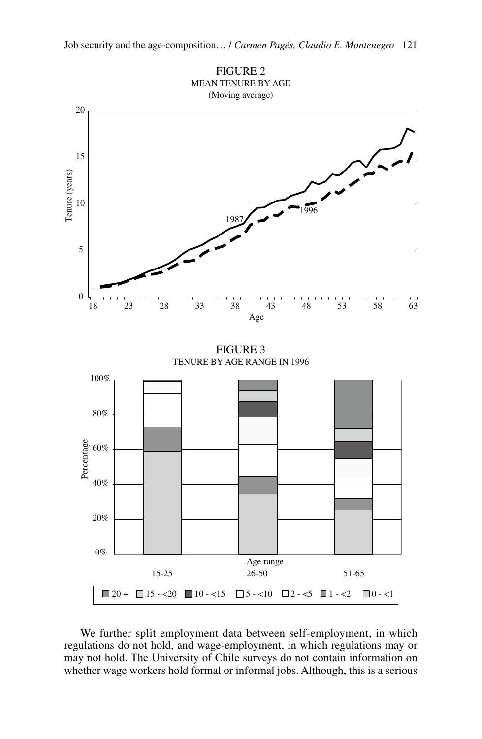

We further split employment data between self-employment, in which regulations do not hold, and wage-employment, in which regulations may or may not hold. The University of Chile surveys do not contain information on whether wage workers hold formal or informal jobs. Although, this is a serious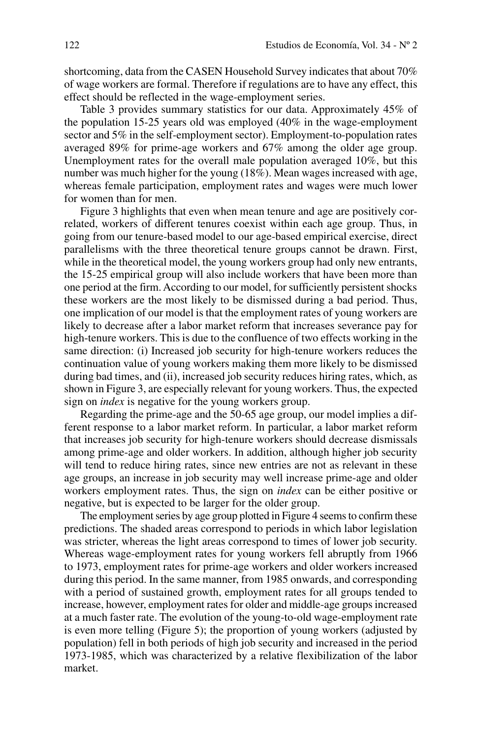shortcoming, data from the CASEN Household Survey indicates that about 70% of wage workers are formal. Therefore if regulations are to have any effect, this effect should be reflected in the wage-employment series.

Table 3 provides summary statistics for our data. Approximately 45% of the population 15-25 years old was employed (40% in the wage-employment sector and 5% in the self-employment sector). Employment-to-population rates averaged 89% for prime-age workers and 67% among the older age group. Unemployment rates for the overall male population averaged 10%, but this number was much higher for the young (18%). Mean wages increased with age, whereas female participation, employment rates and wages were much lower for women than for men.

Figure 3 highlights that even when mean tenure and age are positively correlated, workers of different tenures coexist within each age group. Thus, in going from our tenure-based model to our age-based empirical exercise, direct parallelisms with the three theoretical tenure groups cannot be drawn. First, while in the theoretical model, the young workers group had only new entrants, the 15-25 empirical group will also include workers that have been more than one period at the firm. According to our model, for sufficiently persistent shocks these workers are the most likely to be dismissed during a bad period. Thus, one implication of our model is that the employment rates of young workers are likely to decrease after a labor market reform that increases severance pay for high-tenure workers. This is due to the confluence of two effects working in the same direction: (i) Increased job security for high-tenure workers reduces the continuation value of young workers making them more likely to be dismissed during bad times, and (ii), increased job security reduces hiring rates, which, as shown in Figure 3, are especially relevant for young workers. Thus, the expected sign on *index* is negative for the young workers group.

Regarding the prime-age and the 50-65 age group, our model implies a different response to a labor market reform. In particular, a labor market reform that increases job security for high-tenure workers should decrease dismissals among prime-age and older workers. In addition, although higher job security will tend to reduce hiring rates, since new entries are not as relevant in these age groups, an increase in job security may well increase prime-age and older workers employment rates. Thus, the sign on *index* can be either positive or negative, but is expected to be larger for the older group.

The employment series by age group plotted in Figure 4 seems to confirm these predictions. The shaded areas correspond to periods in which labor legislation was stricter, whereas the light areas correspond to times of lower job security. Whereas wage-employment rates for young workers fell abruptly from 1966 to 1973, employment rates for prime-age workers and older workers increased during this period. In the same manner, from 1985 onwards, and corresponding with a period of sustained growth, employment rates for all groups tended to increase, however, employment rates for older and middle-age groups increased at a much faster rate. The evolution of the young-to-old wage-employment rate is even more telling (Figure 5); the proportion of young workers (adjusted by population) fell in both periods of high job security and increased in the period 1973-1985, which was characterized by a relative flexibilization of the labor market.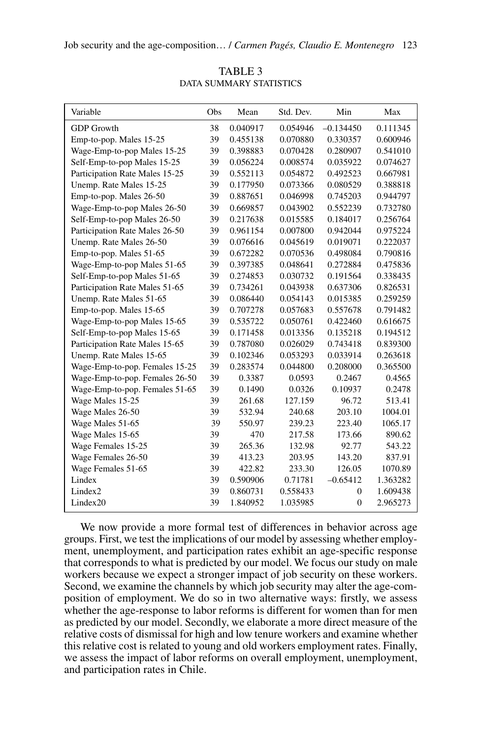| Variable                       | Obs | Mean     | Std. Dev. | Min            | Max      |
|--------------------------------|-----|----------|-----------|----------------|----------|
| <b>GDP</b> Growth              | 38  | 0.040917 | 0.054946  | $-0.134450$    | 0.111345 |
| Emp-to-pop. Males 15-25        | 39  | 0.455138 | 0.070880  | 0.330357       | 0.600946 |
| Wage-Emp-to-pop Males 15-25    | 39  | 0.398883 | 0.070428  | 0.280907       | 0.541010 |
| Self-Emp-to-pop Males 15-25    | 39  | 0.056224 | 0.008574  | 0.035922       | 0.074627 |
| Participation Rate Males 15-25 | 39  | 0.552113 | 0.054872  | 0.492523       | 0.667981 |
| Unemp. Rate Males 15-25        | 39  | 0.177950 | 0.073366  | 0.080529       | 0.388818 |
| Emp-to-pop. Males 26-50        | 39  | 0.887651 | 0.046998  | 0.745203       | 0.944797 |
| Wage-Emp-to-pop Males 26-50    | 39  | 0.669857 | 0.043902  | 0.552239       | 0.732780 |
| Self-Emp-to-pop Males 26-50    | 39  | 0.217638 | 0.015585  | 0.184017       | 0.256764 |
| Participation Rate Males 26-50 | 39  | 0.961154 | 0.007800  | 0.942044       | 0.975224 |
| Unemp. Rate Males 26-50        | 39  | 0.076616 | 0.045619  | 0.019071       | 0.222037 |
| Emp-to-pop. Males 51-65        | 39  | 0.672282 | 0.070536  | 0.498084       | 0.790816 |
| Wage-Emp-to-pop Males 51-65    | 39  | 0.397385 | 0.048641  | 0.272884       | 0.475836 |
| Self-Emp-to-pop Males 51-65    | 39  | 0.274853 | 0.030732  | 0.191564       | 0.338435 |
| Participation Rate Males 51-65 | 39  | 0.734261 | 0.043938  | 0.637306       | 0.826531 |
| Unemp. Rate Males 51-65        | 39  | 0.086440 | 0.054143  | 0.015385       | 0.259259 |
| Emp-to-pop. Males 15-65        | 39  | 0.707278 | 0.057683  | 0.557678       | 0.791482 |
| Wage-Emp-to-pop Males 15-65    | 39  | 0.535722 | 0.050761  | 0.422460       | 0.616675 |
| Self-Emp-to-pop Males 15-65    | 39  | 0.171458 | 0.013356  | 0.135218       | 0.194512 |
| Participation Rate Males 15-65 | 39  | 0.787080 | 0.026029  | 0.743418       | 0.839300 |
| Unemp. Rate Males 15-65        | 39  | 0.102346 | 0.053293  | 0.033914       | 0.263618 |
| Wage-Emp-to-pop. Females 15-25 | 39  | 0.283574 | 0.044800  | 0.208000       | 0.365500 |
| Wage-Emp-to-pop. Females 26-50 | 39  | 0.3387   | 0.0593    | 0.2467         | 0.4565   |
| Wage-Emp-to-pop. Females 51-65 | 39  | 0.1490   | 0.0326    | 0.10937        | 0.2478   |
| Wage Males 15-25               | 39  | 261.68   | 127.159   | 96.72          | 513.41   |
| Wage Males 26-50               | 39  | 532.94   | 240.68    | 203.10         | 1004.01  |
| Wage Males 51-65               | 39  | 550.97   | 239.23    | 223.40         | 1065.17  |
| Wage Males 15-65               | 39  | 470      | 217.58    | 173.66         | 890.62   |
| Wage Females 15-25             | 39  | 265.36   | 132.98    | 92.77          | 543.22   |
| Wage Females 26-50             | 39  | 413.23   | 203.95    | 143.20         | 837.91   |
| Wage Females 51-65             | 39  | 422.82   | 233.30    | 126.05         | 1070.89  |
| Lindex                         | 39  | 0.590906 | 0.71781   | $-0.65412$     | 1.363282 |
| Lindex2                        | 39  | 0.860731 | 0.558433  | $\mathbf{0}$   | 1.609438 |
| Lindex20                       | 39  | 1.840952 | 1.035985  | $\overline{0}$ | 2.965273 |

TABLE<sub>3</sub> DATA SUMMARY STATISTICS

We now provide a more formal test of differences in behavior across age groups. First, we test the implications of our model by assessing whether employment, unemployment, and participation rates exhibit an age-specific response that corresponds to what is predicted by our model. We focus our study on male workers because we expect a stronger impact of job security on these workers. Second, we examine the channels by which job security may alter the age-composition of employment. We do so in two alternative ways: firstly, we assess whether the age-response to labor reforms is different for women than for men as predicted by our model. Secondly, we elaborate a more direct measure of the relative costs of dismissal for high and low tenure workers and examine whether this relative cost is related to young and old workers employment rates. Finally, we assess the impact of labor reforms on overall employment, unemployment, and participation rates in Chile.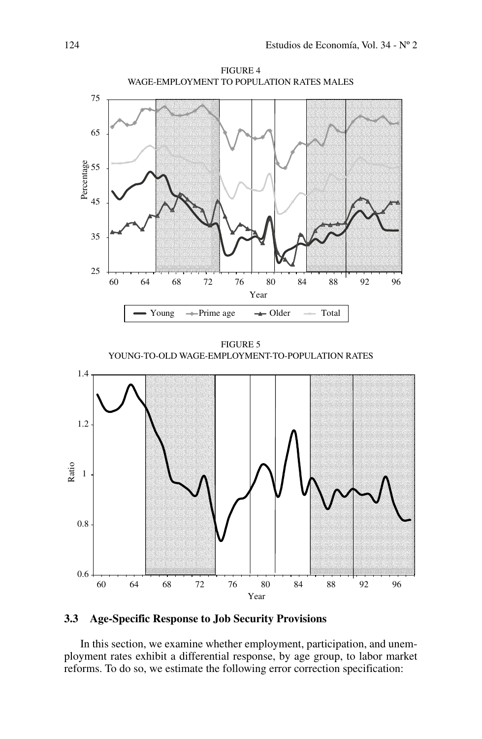

FIGURE 5 young-to-old wage-employment-to-population rates



# **3.3 Age-Specific Response to Job Security Provisions**

In this section, we examine whether employment, participation, and unemployment rates exhibit a differential response, by age group, to labor market reforms. To do so, we estimate the following error correction specification: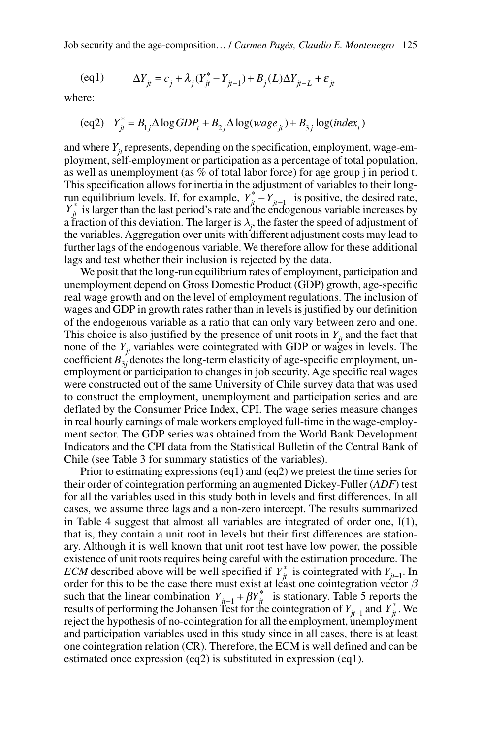Job security and the age-composition… / *Carmen Pagés, Claudio E. Montenegro* 125

$$
(eq1) \t\t \Delta Y_{jt} = c_j + \lambda_j (Y_{jt}^* - Y_{jt-1}) + B_j (L) \Delta Y_{jt-L} + \varepsilon_{jt}
$$

where:

$$
(eq2) \quad Y_{jt}^* = B_{1j} \Delta \log GDP_t + B_{2j} \Delta \log (wage_{jt}) + B_{3j} \log (index_t)
$$

and where  $Y_{it}$  represents, depending on the specification, employment, wage-employment, self-employment or participation as a percentage of total population, as well as unemployment (as % of total labor force) for age group j in period t. This specification allows for inertia in the adjustment of variables to their longrun equilibrium levels. If, for example,  $Y_{jt}^* - Y_{jt-1}$  is positive, the desired rate,  $Y_{j_t}^*$  is larger than the last period's rate and the endogenous variable increases by a fraction of this deviation. The larger is  $\lambda_j$ , the faster the speed of adjustment of the variables. Aggregation over units with different adjustment costs may lead to further lags of the endogenous variable. We therefore allow for these additional lags and test whether their inclusion is rejected by the data.

We posit that the long-run equilibrium rates of employment, participation and unemployment depend on Gross Domestic Product (GDP) growth, age-specific real wage growth and on the level of employment regulations. The inclusion of wages and GDP in growth rates rather than in levels is justified by our definition of the endogenous variable as a ratio that can only vary between zero and one. This choice is also justified by the presence of unit roots in  $Y_{it}$  and the fact that none of the  $Y_{it}$  variables were cointegrated with GDP or wages in levels. The coefficient  $B_{3j}$  denotes the long-term elasticity of age-specific employment, unemployment or participation to changes in job security. Age specific real wages were constructed out of the same University of Chile survey data that was used to construct the employment, unemployment and participation series and are deflated by the Consumer Price Index, CPI. The wage series measure changes in real hourly earnings of male workers employed full-time in the wage-employment sector. The GDP series was obtained from the World Bank Development Indicators and the CPI data from the Statistical Bulletin of the Central Bank of Chile (see Table 3 for summary statistics of the variables).

Prior to estimating expressions (eq1) and (eq2) we pretest the time series for their order of cointegration performing an augmented Dickey-Fuller (*ADF*) test for all the variables used in this study both in levels and first differences. In all cases, we assume three lags and a non-zero intercept. The results summarized in Table 4 suggest that almost all variables are integrated of order one, I(1), that is, they contain a unit root in levels but their first differences are stationary. Although it is well known that unit root test have low power, the possible existence of unit roots requires being careful with the estimation procedure. The *ECM* described above will be well specified if  $Y_{jt}^*$  is cointegrated with  $Y_{jt-1}$ . In order for this to be the case there must exist at least one cointegration vector *β* such that the linear combination  $Y_{j+1} + \beta Y_{j}^*$  is stationary. Table 5 reports the results of performing the Johansen Test for the cointegration of  $Y_{j+1}$  and  $Y_{j}^*$ . We reject the hypothesis of no-cointegration for all the employment, unemployment and participation variables used in this study since in all cases, there is at least one cointegration relation (CR). Therefore, the ECM is well defined and can be estimated once expression (eq2) is substituted in expression (eq1).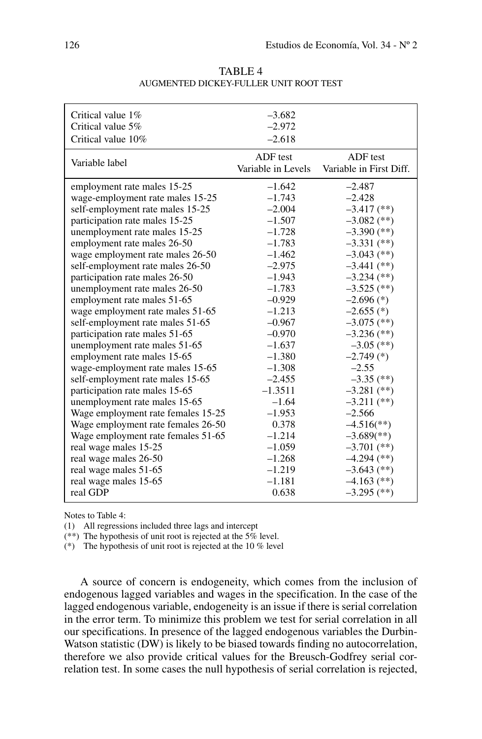| Critical value 1\%                 | $-3.682$           |                            |
|------------------------------------|--------------------|----------------------------|
| Critical value 5%                  | $-2.972$           |                            |
| Critical value 10%                 | $-2.618$           |                            |
|                                    |                    |                            |
| Variable label                     | ADF test           | ADF test                   |
|                                    | Variable in Levels | Variable in First Diff.    |
| employment rate males 15-25        | $-1.642$           | $-2.487$                   |
| wage-employment rate males 15-25   | $-1.743$           | $-2.428$                   |
| self-employment rate males 15-25   | $-2.004$           | $-3.417$ (**)              |
| participation rate males 15-25     | $-1.507$           | $-3.082$ (**)              |
| unemployment rate males 15-25      | $-1.728$           | $-3.390$ (**)              |
| employment rate males 26-50        | $-1.783$           | $-3.331$ (**)              |
| wage employment rate males 26-50   | $-1.462$           | $-3.043$ (**)              |
| self-employment rate males 26-50   | $-2.975$           | $-3.441$ (**)              |
| participation rate males 26-50     | $-1.943$           | $-3.234$ (**)              |
| unemployment rate males 26-50      | $-1.783$           | $-3.525$ (**)              |
| employment rate males 51-65        | $-0.929$           | $-2.696$ (*)               |
| wage employment rate males 51-65   | $-1.213$           | $-2.655$ (*)               |
| self-employment rate males 51-65   | $-0.967$           | $-3.075$ (**)              |
| participation rate males 51-65     | $-0.970$           | $-3.236$ (**)              |
| unemployment rate males 51-65      | $-1.637$           | $-3.05$ (**)               |
| employment rate males 15-65        | $-1.380$           | $-2.749$ (*)               |
| wage-employment rate males 15-65   | $-1.308$           | $-2.55$                    |
| self-employment rate males 15-65   | $-2.455$           | $-3.35$ (**)               |
| participation rate males 15-65     | $-1.3511$          | $-3.281$ (**)              |
| unemployment rate males 15-65      | $-1.64$            | $-3.211$ (**)              |
| Wage employment rate females 15-25 | $-1.953$           | $-2.566$                   |
| Wage employment rate females 26-50 | 0.378              | $-4.516$ <sup>**</sup> )   |
| Wage employment rate females 51-65 | $-1.214$           | $-3.689$ <sup>(**)</sup> ) |
| real wage males 15-25              | $-1.059$           | $-3.701$ (**)              |
| real wage males 26-50              | $-1.268$           | $-4.294$ (**)              |
| real wage males 51-65              | $-1.219$           | $-3.643$ (**)              |
| real wage males 15-65              | $-1.181$           | $-4.163$ (**)              |
| real GDP                           | 0.638              | $-3.295$ (**)              |
|                                    |                    |                            |

TABLE<sub>4</sub> Augmented Dickey-Fuller Unit Root Test

Notes to Table 4:

(1) All regressions included three lags and intercept

(\*\*) The hypothesis of unit root is rejected at the 5% level.

(\*) The hypothesis of unit root is rejected at the 10 % level

A source of concern is endogeneity, which comes from the inclusion of endogenous lagged variables and wages in the specification. In the case of the lagged endogenous variable, endogeneity is an issue if there is serial correlation in the error term. To minimize this problem we test for serial correlation in all our specifications. In presence of the lagged endogenous variables the Durbin-Watson statistic (DW) is likely to be biased towards finding no autocorrelation, therefore we also provide critical values for the Breusch-Godfrey serial correlation test. In some cases the null hypothesis of serial correlation is rejected,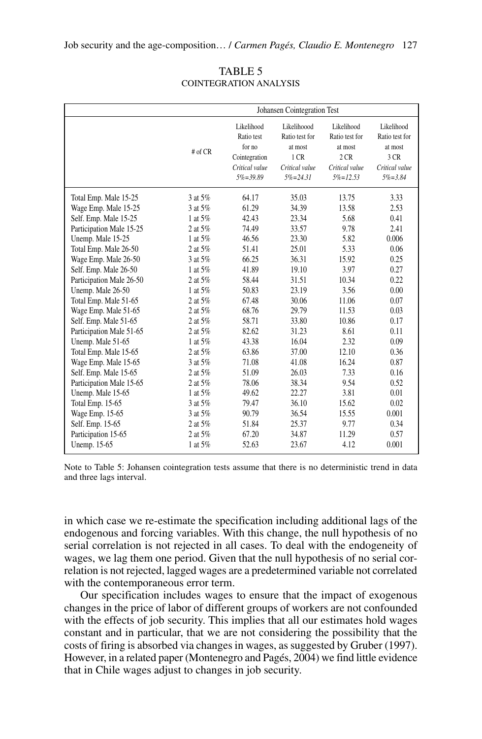|                          |             |                                                                                        | Johansen Cointegration Test                                                         |                                                                                   |                                                                                   |
|--------------------------|-------------|----------------------------------------------------------------------------------------|-------------------------------------------------------------------------------------|-----------------------------------------------------------------------------------|-----------------------------------------------------------------------------------|
|                          | $#$ of $CR$ | Likelihood<br>Ratio test<br>for no<br>Cointegration<br>Critical value<br>$5\% = 39.89$ | Likelihoood<br>Ratio test for<br>at most<br>1 CR<br>Critical value<br>$5\% = 24.31$ | Likelihood<br>Ratio test for<br>at most<br>2CR<br>Critical value<br>$5\% = 12.53$ | Likelihood<br>Ratio test for<br>at most<br>3 CR<br>Critical value<br>$5\% = 3.84$ |
| Total Emp. Male 15-25    | 3 at 5%     | 64.17                                                                                  | 35.03                                                                               | 13.75                                                                             | 3.33                                                                              |
| Wage Emp. Male 15-25     | 3 at 5%     | 61.29                                                                                  | 34.39                                                                               | 13.58                                                                             | 2.53                                                                              |
| Self. Emp. Male 15-25    | 1 at 5%     | 42.43                                                                                  | 23.34                                                                               | 5.68                                                                              | 0.41                                                                              |
| Participation Male 15-25 | 2 at 5%     | 74.49                                                                                  | 33.57                                                                               | 9.78                                                                              | 2.41                                                                              |
| Unemp. Male 15-25        | 1 at 5%     | 46.56                                                                                  | 23.30                                                                               | 5.82                                                                              | 0.006                                                                             |
| Total Emp. Male 26-50    | 2 at 5%     | 51.41                                                                                  | 25.01                                                                               | 5.33                                                                              | 0.06                                                                              |
| Wage Emp. Male 26-50     | 3 at 5%     | 66.25                                                                                  | 36.31                                                                               | 15.92                                                                             | 0.25                                                                              |
| Self. Emp. Male 26-50    | 1 at 5%     | 41.89                                                                                  | 19.10                                                                               | 3.97                                                                              | 0.27                                                                              |
| Participation Male 26-50 | 2 at 5%     | 58.44                                                                                  | 31.51                                                                               | 10.34                                                                             | 0.22                                                                              |
| Unemp. Male 26-50        | 1 at 5%     | 50.83                                                                                  | 23.19                                                                               | 3.56                                                                              | 0.00                                                                              |
| Total Emp. Male 51-65    | 2 at 5%     | 67.48                                                                                  | 30.06                                                                               | 11.06                                                                             | 0.07                                                                              |
| Wage Emp. Male 51-65     | 2 at 5%     | 68.76                                                                                  | 29.79                                                                               | 11.53                                                                             | 0.03                                                                              |
| Self. Emp. Male 51-65    | 2 at 5%     | 58.71                                                                                  | 33.80                                                                               | 10.86                                                                             | 0.17                                                                              |
| Participation Male 51-65 | 2 at 5%     | 82.62                                                                                  | 31.23                                                                               | 8.61                                                                              | 0.11                                                                              |
| Unemp. Male 51-65        | 1 at 5%     | 43.38                                                                                  | 16.04                                                                               | 2.32                                                                              | 0.09                                                                              |
| Total Emp. Male 15-65    | 2 at 5%     | 63.86                                                                                  | 37.00                                                                               | 12.10                                                                             | 0.36                                                                              |
| Wage Emp. Male 15-65     | 3 at 5%     | 71.08                                                                                  | 41.08                                                                               | 16.24                                                                             | 0.87                                                                              |
| Self. Emp. Male 15-65    | 2 at 5%     | 51.09                                                                                  | 26.03                                                                               | 7.33                                                                              | 0.16                                                                              |
| Participation Male 15-65 | 2 at 5%     | 78.06                                                                                  | 38.34                                                                               | 9.54                                                                              | 0.52                                                                              |
| Unemp. Male 15-65        | 1 at 5%     | 49.62                                                                                  | 22.27                                                                               | 3.81                                                                              | 0.01                                                                              |
| Total Emp. 15-65         | 3 at 5%     | 79.47                                                                                  | 36.10                                                                               | 15.62                                                                             | 0.02                                                                              |
| Wage Emp. 15-65          | 3 at 5%     | 90.79                                                                                  | 36.54                                                                               | 15.55                                                                             | 0.001                                                                             |
| Self. Emp. 15-65         | 2 at 5%     | 51.84                                                                                  | 25.37                                                                               | 9.77                                                                              | 0.34                                                                              |
| Participation 15-65      | 2 at 5%     | 67.20                                                                                  | 34.87                                                                               | 11.29                                                                             | 0.57                                                                              |
| Unemp. 15-65             | 1 at 5%     | 52.63                                                                                  | 23.67                                                                               | 4.12                                                                              | 0.001                                                                             |

TABLE 5 Cointegration Analysis

Note to Table 5: Johansen cointegration tests assume that there is no deterministic trend in data and three lags interval.

in which case we re-estimate the specification including additional lags of the endogenous and forcing variables. With this change, the null hypothesis of no serial correlation is not rejected in all cases. To deal with the endogeneity of wages, we lag them one period. Given that the null hypothesis of no serial correlation is not rejected, lagged wages are a predetermined variable not correlated with the contemporaneous error term.

Our specification includes wages to ensure that the impact of exogenous changes in the price of labor of different groups of workers are not confounded with the effects of job security. This implies that all our estimates hold wages constant and in particular, that we are not considering the possibility that the costs of firing is absorbed via changes in wages, as suggested by Gruber (1997). However, in a related paper (Montenegro and Pagés, 2004) we find little evidence that in Chile wages adjust to changes in job security.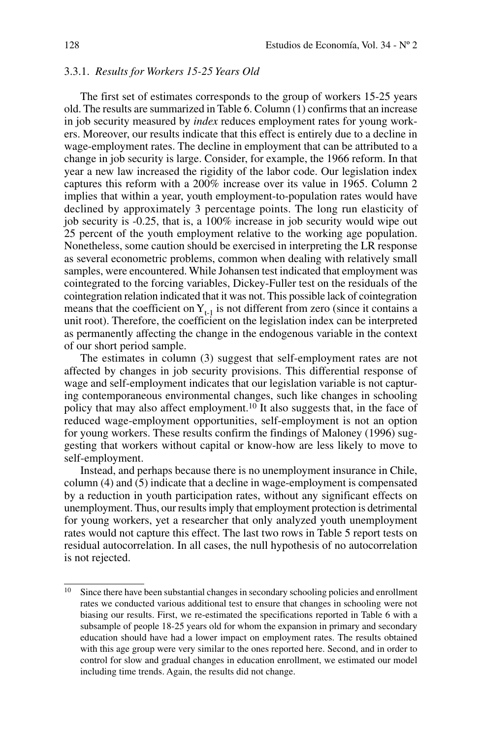## 3.3.1. *Results for Workers 15-25 Years Old*

The first set of estimates corresponds to the group of workers 15-25 years old. The results are summarized in Table 6. Column (1) confirms that an increase in job security measured by *index* reduces employment rates for young workers. Moreover, our results indicate that this effect is entirely due to a decline in wage-employment rates. The decline in employment that can be attributed to a change in job security is large. Consider, for example, the 1966 reform. In that year a new law increased the rigidity of the labor code. Our legislation index captures this reform with a 200% increase over its value in 1965. Column 2 implies that within a year, youth employment-to-population rates would have declined by approximately 3 percentage points. The long run elasticity of job security is -0.25, that is, a 100% increase in job security would wipe out 25 percent of the youth employment relative to the working age population. Nonetheless, some caution should be exercised in interpreting the LR response as several econometric problems, common when dealing with relatively small samples, were encountered. While Johansen test indicated that employment was cointegrated to the forcing variables, Dickey-Fuller test on the residuals of the cointegration relation indicated that it was not. This possible lack of cointegration means that the coefficient on  $Y_{t-1}$  is not different from zero (since it contains a unit root). Therefore, the coefficient on the legislation index can be interpreted as permanently affecting the change in the endogenous variable in the context of our short period sample.

The estimates in column (3) suggest that self-employment rates are not affected by changes in job security provisions. This differential response of wage and self-employment indicates that our legislation variable is not capturing contemporaneous environmental changes, such like changes in schooling policy that may also affect employment.<sup>10</sup> It also suggests that, in the face of reduced wage-employment opportunities, self-employment is not an option for young workers. These results confirm the findings of Maloney (1996) suggesting that workers without capital or know-how are less likely to move to self-employment.

Instead, and perhaps because there is no unemployment insurance in Chile, column (4) and (5) indicate that a decline in wage-employment is compensated by a reduction in youth participation rates, without any significant effects on unemployment. Thus, our results imply that employment protection is detrimental for young workers, yet a researcher that only analyzed youth unemployment rates would not capture this effect. The last two rows in Table 5 report tests on residual autocorrelation. In all cases, the null hypothesis of no autocorrelation is not rejected.

<sup>&</sup>lt;sup>10</sup> Since there have been substantial changes in secondary schooling policies and enrollment rates we conducted various additional test to ensure that changes in schooling were not biasing our results. First, we re-estimated the specifications reported in Table 6 with a subsample of people 18-25 years old for whom the expansion in primary and secondary education should have had a lower impact on employment rates. The results obtained with this age group were very similar to the ones reported here. Second, and in order to control for slow and gradual changes in education enrollment, we estimated our model including time trends. Again, the results did not change.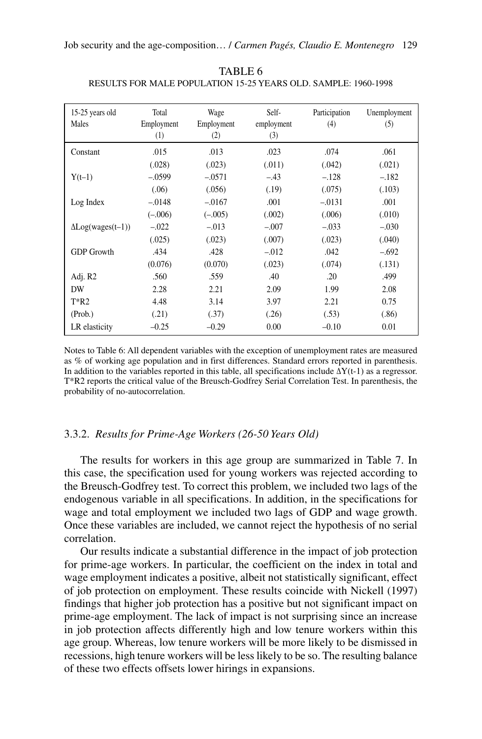| 15-25 years old<br>Males | Total<br>Employment<br>(1) | Wage<br>Employment<br>(2) | Self-<br>employment<br>(3) | Participation<br>(4) | Unemployment<br>(5) |
|--------------------------|----------------------------|---------------------------|----------------------------|----------------------|---------------------|
| Constant                 | .015                       | .013                      | .023                       | .074                 | .061                |
|                          | (.028)                     | (.023)                    | (.011)                     | (.042)               | (.021)              |
| $Y(t-1)$                 | $-.0599$                   | $-.0571$                  | $-.43$                     | $-.128$              | $-.182$             |
|                          | (.06)                      | (.056)                    | (.19)                      | (.075)               | (.103)              |
| Log Index                | $-.0148$                   | $-.0167$                  | .001                       | $-.0131$             | .001                |
|                          | $(-.006)$                  | $(-.005)$                 | (.002)                     | (.006)               | (.010)              |
| $\Delta Log(wages(t-1))$ | $-.022$                    | $-.013$                   | $-.007$                    | $-.033$              | $-.030$             |
|                          | (.025)                     | (.023)                    | (.007)                     | (.023)               | (.040)              |
| <b>GDP</b> Growth        | .434                       | .428                      | $-.012$                    | .042                 | $-.692$             |
|                          | (0.076)                    | (0.070)                   | (.023)                     | (.074)               | (.131)              |
| Adj. R2                  | .560                       | .559                      | .40                        | .20                  | .499                |
| DW                       | 2.28                       | 2.21                      | 2.09                       | 1.99                 | 2.08                |
| $T^*R2$                  | 4.48                       | 3.14                      | 3.97                       | 2.21                 | 0.75                |
| (Prob.)                  | (.21)                      | (.37)                     | (.26)                      | (.53)                | (.86)               |
| LR elasticity            | $-0.25$                    | $-0.29$                   | 0.00                       | $-0.10$              | 0.01                |

TABLE<sub>6</sub> Results for Male Population 15-25 years old. Sample: 1960-1998

Notes to Table 6: All dependent variables with the exception of unemployment rates are measured as % of working age population and in first differences. Standard errors reported in parenthesis. In addition to the variables reported in this table, all specifications include  $\Delta Y(t-1)$  as a regressor. T\*R2 reports the critical value of the Breusch-Godfrey Serial Correlation Test. In parenthesis, the probability of no-autocorrelation.

### 3.3.2. *Results for Prime-Age Workers (26-50 Years Old)*

The results for workers in this age group are summarized in Table 7. In this case, the specification used for young workers was rejected according to the Breusch-Godfrey test. To correct this problem, we included two lags of the endogenous variable in all specifications. In addition, in the specifications for wage and total employment we included two lags of GDP and wage growth. Once these variables are included, we cannot reject the hypothesis of no serial correlation.

Our results indicate a substantial difference in the impact of job protection for prime-age workers. In particular, the coefficient on the index in total and wage employment indicates a positive, albeit not statistically significant, effect of job protection on employment. These results coincide with Nickell (1997) findings that higher job protection has a positive but not significant impact on prime-age employment. The lack of impact is not surprising since an increase in job protection affects differently high and low tenure workers within this age group. Whereas, low tenure workers will be more likely to be dismissed in recessions, high tenure workers will be less likely to be so. The resulting balance of these two effects offsets lower hirings in expansions.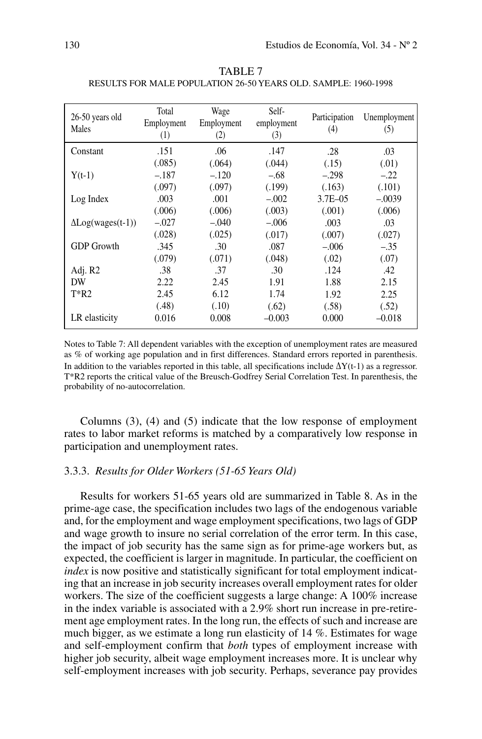| 26-50 years old<br>Males | Total<br>Employment<br>(1) | Wage<br>Employment<br>(2) | Self-<br>employment<br>(3) | Participation<br>(4) | Unemployment<br>(5) |
|--------------------------|----------------------------|---------------------------|----------------------------|----------------------|---------------------|
| Constant                 | .151                       | .06                       | .147                       | .28                  | .03                 |
|                          | (.085)                     | (.064)                    | (.044)                     | (.15)                | (.01)               |
| $Y(t-1)$                 | $-.187$                    | $-.120$                   | $-.68$                     | $-.298$              | $-.22$              |
|                          | (.097)                     | (.097)                    | (.199)                     | (.163)               | (.101)              |
| Log Index                | .003                       | .001                      | $-.002$                    | $3.7E - 0.5$         | $-.0039$            |
|                          | (.006)                     | (.006)                    | (.003)                     | (.001)               | (.006)              |
| $\Delta Log(wages(t-1))$ | $-.027$                    | $-.040$                   | $-.006$                    | .003                 | .03                 |
|                          | (.028)                     | (.025)                    | (.017)                     | (.007)               | (.027)              |
| <b>GDP</b> Growth        | .345                       | .30                       | .087                       | $-.006$              | $-.35$              |
|                          | (.079)                     | (.071)                    | (.048)                     | (.02)                | (.07)               |
| Adj. R <sub>2</sub>      | .38                        | .37                       | .30                        | .124                 | .42                 |
| DW                       | 2.22                       | 2.45                      | 1.91                       | 1.88                 | 2.15                |
| $T^*R2$                  | 2.45                       | 6.12                      | 1.74                       | 1.92                 | 2.25                |
|                          | (.48)                      | (.10)                     | (.62)                      | (.58)                | (.52)               |
| LR elasticity            | 0.016                      | 0.008                     | $-0.003$                   | 0.000                | $-0.018$            |

TABLE 7 Results for Male Population 26-50 years old. Sample: 1960-1998

Notes to Table 7: All dependent variables with the exception of unemployment rates are measured as % of working age population and in first differences. Standard errors reported in parenthesis. In addition to the variables reported in this table, all specifications include  $\Delta Y(t-1)$  as a regressor. T\*R2 reports the critical value of the Breusch-Godfrey Serial Correlation Test. In parenthesis, the probability of no-autocorrelation.

Columns (3), (4) and (5) indicate that the low response of employment rates to labor market reforms is matched by a comparatively low response in participation and unemployment rates.

# 3.3.3. *Results for Older Workers (51-65 Years Old)*

Results for workers 51-65 years old are summarized in Table 8. As in the prime-age case, the specification includes two lags of the endogenous variable and, for the employment and wage employment specifications, two lags of GDP and wage growth to insure no serial correlation of the error term. In this case, the impact of job security has the same sign as for prime-age workers but, as expected, the coefficient is larger in magnitude. In particular, the coefficient on *index* is now positive and statistically significant for total employment indicating that an increase in job security increases overall employment rates for older workers. The size of the coefficient suggests a large change: A 100% increase in the index variable is associated with a 2.9% short run increase in pre-retirement age employment rates. In the long run, the effects of such and increase are much bigger, as we estimate a long run elasticity of 14 %. Estimates for wage and self-employment confirm that *both* types of employment increase with higher job security, albeit wage employment increases more. It is unclear why self-employment increases with job security. Perhaps, severance pay provides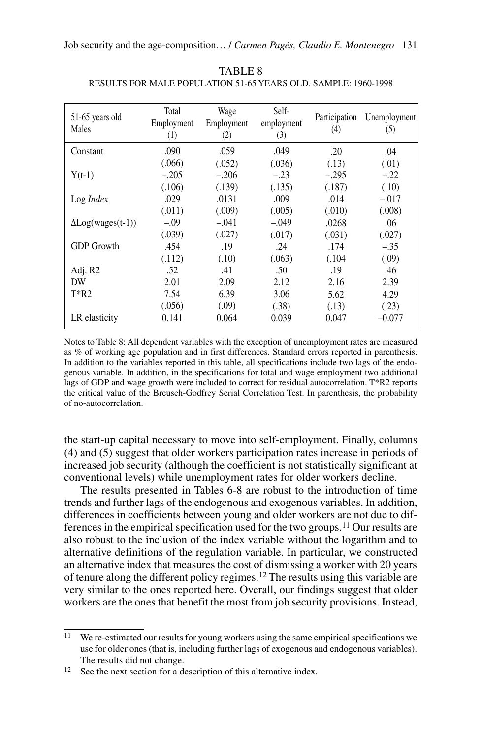| 51-65 years old<br>Males | Total<br>Employment<br>(1) | Wage<br>Employment<br>(2) | Self-<br>employment<br>(3) | Participation<br>(4) | Unemployment<br>(5) |
|--------------------------|----------------------------|---------------------------|----------------------------|----------------------|---------------------|
| Constant                 | .090                       | .059                      | .049                       | .20                  | .04                 |
|                          | (.066)                     | (.052)                    | (.036)                     | (.13)                | (.01)               |
| $Y(t-1)$                 | $-.205$                    | $-.206$                   | $-.23$                     | $-.295$              | $-.22$              |
|                          | (.106)                     | (.139)                    | (.135)                     | (.187)               | (.10)               |
| Log Index                | .029                       | .0131                     | .009                       | .014                 | $-.017$             |
|                          | (.011)                     | (.009)                    | (.005)                     | (.010)               | (.008)              |
| $\Delta Log(wages(t-1))$ | $-.09$                     | $-.041$                   | $-.049$                    | .0268                | .06                 |
|                          | (.039)                     | (.027)                    | (.017)                     | (.031)               | (.027)              |
| <b>GDP</b> Growth        | .454                       | .19                       | .24                        | .174                 | $-.35$              |
|                          | (.112)                     | (.10)                     | (.063)                     | (.104)               | (.09)               |
| Adj. R <sub>2</sub>      | .52                        | .41                       | .50                        | .19                  | .46                 |
| DW                       | 2.01                       | 2.09                      | 2.12                       | 2.16                 | 2.39                |
| $T^*R2$                  | 7.54                       | 6.39                      | 3.06                       | 5.62                 | 4.29                |
|                          | (.056)                     | (.09)                     | (.38)                      | (.13)                | (.23)               |
| LR elasticity            | 0.141                      | 0.064                     | 0.039                      | 0.047                | $-0.077$            |

TABLE 8 Results for Male Population 51-65 years old. Sample: 1960-1998

Notes to Table 8: All dependent variables with the exception of unemployment rates are measured as % of working age population and in first differences. Standard errors reported in parenthesis. In addition to the variables reported in this table, all specifications include two lags of the endogenous variable. In addition, in the specifications for total and wage employment two additional lags of GDP and wage growth were included to correct for residual autocorrelation. T\*R2 reports the critical value of the Breusch-Godfrey Serial Correlation Test. In parenthesis, the probability of no-autocorrelation.

the start-up capital necessary to move into self-employment. Finally, columns (4) and (5) suggest that older workers participation rates increase in periods of increased job security (although the coefficient is not statistically significant at conventional levels) while unemployment rates for older workers decline.

The results presented in Tables 6-8 are robust to the introduction of time trends and further lags of the endogenous and exogenous variables. In addition, differences in coefficients between young and older workers are not due to differences in the empirical specification used for the two groups.11 Our results are also robust to the inclusion of the index variable without the logarithm and to alternative definitions of the regulation variable. In particular, we constructed an alternative index that measures the cost of dismissing a worker with 20 years of tenure along the different policy regimes.12 The results using this variable are very similar to the ones reported here. Overall, our findings suggest that older workers are the ones that benefit the most from job security provisions. Instead,

<sup>&</sup>lt;sup>11</sup> We re-estimated our results for young workers using the same empirical specifications we use for older ones (that is, including further lags of exogenous and endogenous variables). The results did not change.

 $12$  See the next section for a description of this alternative index.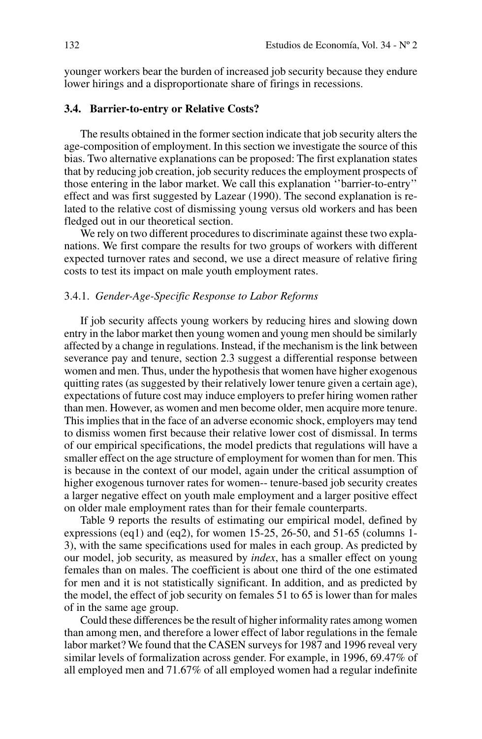younger workers bear the burden of increased job security because they endure lower hirings and a disproportionate share of firings in recessions.

## **3.4. Barrier-to-entry or Relative Costs?**

The results obtained in the former section indicate that job security alters the age-composition of employment. In this section we investigate the source of this bias. Two alternative explanations can be proposed: The first explanation states that by reducing job creation, job security reduces the employment prospects of those entering in the labor market. We call this explanation ''barrier-to-entry'' effect and was first suggested by Lazear (1990). The second explanation is related to the relative cost of dismissing young versus old workers and has been fledged out in our theoretical section.

We rely on two different procedures to discriminate against these two explanations. We first compare the results for two groups of workers with different expected turnover rates and second, we use a direct measure of relative firing costs to test its impact on male youth employment rates.

## 3.4.1. *Gender-Age-Specific Response to Labor Reforms*

If job security affects young workers by reducing hires and slowing down entry in the labor market then young women and young men should be similarly affected by a change in regulations. Instead, if the mechanism is the link between severance pay and tenure, section 2.3 suggest a differential response between women and men. Thus, under the hypothesis that women have higher exogenous quitting rates (as suggested by their relatively lower tenure given a certain age), expectations of future cost may induce employers to prefer hiring women rather than men. However, as women and men become older, men acquire more tenure. This implies that in the face of an adverse economic shock, employers may tend to dismiss women first because their relative lower cost of dismissal. In terms of our empirical specifications, the model predicts that regulations will have a smaller effect on the age structure of employment for women than for men. This is because in the context of our model, again under the critical assumption of higher exogenous turnover rates for women-- tenure-based job security creates a larger negative effect on youth male employment and a larger positive effect on older male employment rates than for their female counterparts.

Table 9 reports the results of estimating our empirical model, defined by expressions (eq1) and (eq2), for women  $15-25$ ,  $26-50$ , and  $51-65$  (columns 1-3), with the same specifications used for males in each group. As predicted by our model, job security, as measured by *index*, has a smaller effect on young females than on males. The coefficient is about one third of the one estimated for men and it is not statistically significant. In addition, and as predicted by the model, the effect of job security on females 51 to 65 is lower than for males of in the same age group.

Could these differences be the result of higher informality rates among women than among men, and therefore a lower effect of labor regulations in the female labor market? We found that the CASEN surveys for 1987 and 1996 reveal very similar levels of formalization across gender. For example, in 1996, 69.47% of all employed men and 71.67% of all employed women had a regular indefinite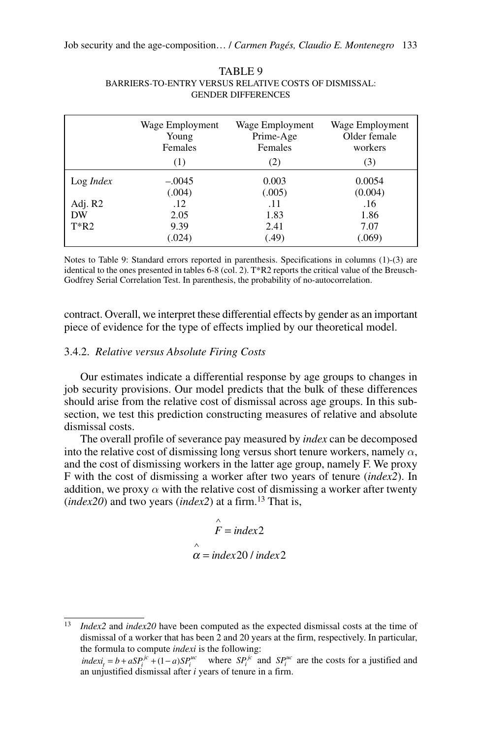|           | Wage Employment | Wage Employment | Wage Employment |
|-----------|-----------------|-----------------|-----------------|
|           | Young           | Prime-Age       | Older female    |
|           | Females         | Females         | workers         |
|           | (1)             | (2)             | (3)             |
| Log Index | $-.0045$        | 0.003           | 0.0054          |
|           | (.004)          | (.005)          | (0.004)         |
| Adj. R2   | .12             | .11             | .16             |
| DW        | 2.05            | 1.83            | 1.86            |
| $T^*R2$   | 9.39            | 2.41            | 7.07            |
|           | (.024)          | (.49)           | (.069)          |

| TABLE 9                                               |
|-------------------------------------------------------|
| BARRIERS-TO-ENTRY VERSUS RELATIVE COSTS OF DISMISSAL: |
| <b>GENDER DIFFERENCES</b>                             |

Notes to Table 9: Standard errors reported in parenthesis. Specifications in columns (1)-(3) are identical to the ones presented in tables 6-8 (col. 2). T\*R2 reports the critical value of the Breusch-Godfrey Serial Correlation Test. In parenthesis, the probability of no-autocorrelation.

contract. Overall, we interpret these differential effects by gender as an important piece of evidence for the type of effects implied by our theoretical model.

## 3.4.2. *Relative versus Absolute Firing Costs*

Our estimates indicate a differential response by age groups to changes in job security provisions. Our model predicts that the bulk of these differences should arise from the relative cost of dismissal across age groups. In this subsection, we test this prediction constructing measures of relative and absolute dismissal costs.

The overall profile of severance pay measured by *index* can be decomposed into the relative cost of dismissing long versus short tenure workers, namely *α*, and the cost of dismissing workers in the latter age group, namely F. We proxy F with the cost of dismissing a worker after two years of tenure (*index2*). In addition, we proxy  $\alpha$  with the relative cost of dismissing a worker after twenty  $(index20)$  and two years  $(index2)$  at a firm.<sup>13</sup> That is,

 $\hat{F} = index2$  $\alpha$ ∧  $\alpha$  = *index* 20 / *index* 2

<sup>13</sup> *Index2* and *index20* have been computed as the expected dismissal costs at the time of dismissal of a worker that has been 2 and 20 years at the firm, respectively. In particular, the formula to compute *indexi* is the following: *indexi<sub>t</sub>* =  $b + aSP_i^{jc} + (1 - a)SP_i^{uc}$  where  $SP_i^{jc}$  and  $SP_i^{uc}$  are the costs for a justified and an unjustified dismissal after *i* years of tenure in a firm.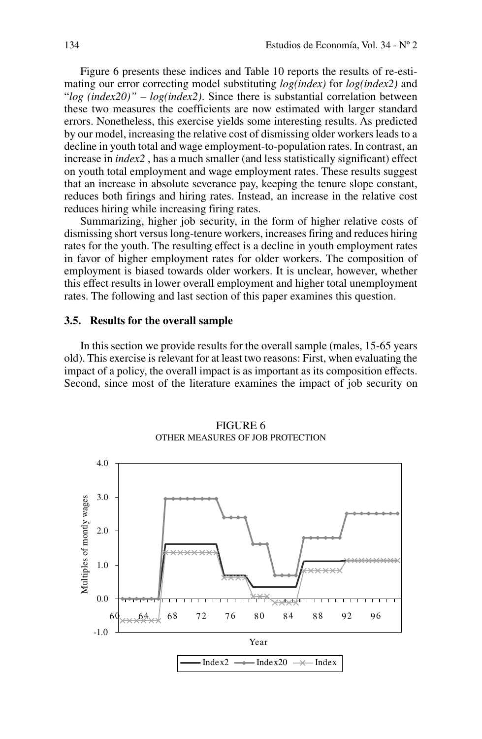Figure 6 presents these indices and Table 10 reports the results of re-estimating our error correcting model substituting *log(index)* for *log(index2)* and "*log (index20)" – log(index2)*. Since there is substantial correlation between these two measures the coefficients are now estimated with larger standard errors. Nonetheless, this exercise yields some interesting results. As predicted by our model, increasing the relative cost of dismissing older workers leads to a decline in youth total and wage employment-to-population rates. In contrast, an increase in *index2* , has a much smaller (and less statistically significant) effect on youth total employment and wage employment rates. These results suggest that an increase in absolute severance pay, keeping the tenure slope constant, reduces both firings and hiring rates. Instead, an increase in the relative cost reduces hiring while increasing firing rates.

Summarizing, higher job security, in the form of higher relative costs of dismissing short versus long-tenure workers, increases firing and reduces hiring rates for the youth. The resulting effect is a decline in youth employment rates in favor of higher employment rates for older workers. The composition of employment is biased towards older workers. It is unclear, however, whether this effect results in lower overall employment and higher total unemployment rates. The following and last section of this paper examines this question.

## **3.5. Results for the overall sample**

In this section we provide results for the overall sample (males, 15-65 years old). This exercise is relevant for at least two reasons: First, when evaluating the impact of a policy, the overall impact is as important as its composition effects. Second, since most of the literature examines the impact of job security on



FIGURE 6 OTHER MEASURES OF JOB PROTECTION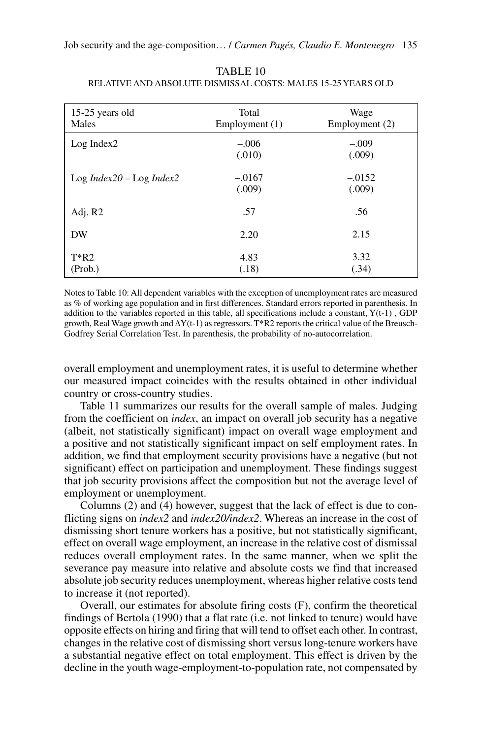| 15-25 years old<br>Males   | Total<br>Employment (1) | Wage<br>Employment (2) |
|----------------------------|-------------------------|------------------------|
| Log Index2                 | $-.006$<br>(.010)       | $-.009$<br>(.009)      |
| $Log Index20 - Log Index2$ | $-.0167$<br>(.009)      | $-.0152$<br>(.009)     |
| Adj. R2                    | .57                     | .56                    |
| DW                         | 2.20                    | 2.15                   |
| $T^*R2$<br>(Prob.)         | 4.83<br>(.18)           | 3.32<br>(.34)          |

TABLE 10 Relative and Absolute Dismissal Costs: Males 15-25 years old

Notes to Table 10: All dependent variables with the exception of unemployment rates are measured as % of working age population and in first differences. Standard errors reported in parenthesis. In addition to the variables reported in this table, all specifications include a constant,  $Y(t-1)$ , GDP growth, Real Wage growth and ∆Y(t-1) as regressors. T\*R2 reports the critical value of the Breusch-Godfrey Serial Correlation Test. In parenthesis, the probability of no-autocorrelation.

overall employment and unemployment rates, it is useful to determine whether our measured impact coincides with the results obtained in other individual country or cross-country studies.

Table 11 summarizes our results for the overall sample of males. Judging from the coefficient on *index*, an impact on overall job security has a negative (albeit, not statistically significant) impact on overall wage employment and a positive and not statistically significant impact on self employment rates. In addition, we find that employment security provisions have a negative (but not significant) effect on participation and unemployment. These findings suggest that job security provisions affect the composition but not the average level of employment or unemployment.

Columns (2) and (4) however, suggest that the lack of effect is due to conflicting signs on *index2* and *index20/index2*. Whereas an increase in the cost of dismissing short tenure workers has a positive, but not statistically significant, effect on overall wage employment, an increase in the relative cost of dismissal reduces overall employment rates. In the same manner, when we split the severance pay measure into relative and absolute costs we find that increased absolute job security reduces unemployment, whereas higher relative costs tend to increase it (not reported).

Overall, our estimates for absolute firing costs (F), confirm the theoretical findings of Bertola (1990) that a flat rate (i.e. not linked to tenure) would have opposite effects on hiring and firing that will tend to offset each other. In contrast, changes in the relative cost of dismissing short versus long-tenure workers have a substantial negative effect on total employment. This effect is driven by the decline in the youth wage-employment-to-population rate, not compensated by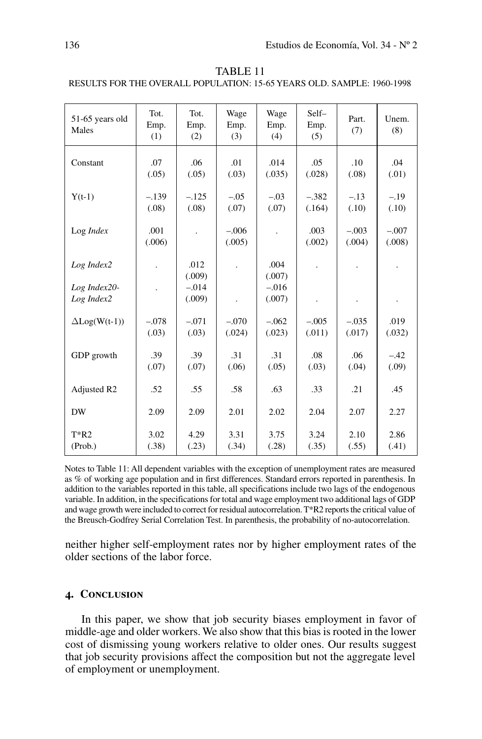| TABLE 11                                                               |
|------------------------------------------------------------------------|
| RESULTS FOR THE OVERALL POPULATION: 15-65 YEARS OLD. SAMPLE: 1960-1998 |

| 51-65 years old<br>Males   | Tot.<br>Emp.<br>(1) | Tot.<br>Emp.<br>(2) | Wage<br>Emp.<br>(3) | Wage<br>Emp.<br>(4) | $Self-$<br>Emp.<br>(5) | Part.<br>(7)      | Unem.<br>(8)      |
|----------------------------|---------------------|---------------------|---------------------|---------------------|------------------------|-------------------|-------------------|
| Constant                   | .07<br>(.05)        | .06<br>(.05)        | .01<br>(.03)        | .014<br>(.035)      | .05<br>(.028)          | .10<br>(.08)      | .04<br>(.01)      |
| $Y(t-1)$                   | $-.139$<br>(.08)    | $-.125$<br>(.08)    | $-.05$<br>(.07)     | $-.03$<br>(.07)     | $-.382$<br>(.164)      | $-.13$<br>(.10)   | $-.19$<br>(.10)   |
| Log Index                  | .001<br>(.006)      |                     | $-.006$<br>(.005)   |                     | .003<br>(.002)         | $-.003$<br>(.004) | $-.007$<br>(.008) |
| Log Index2                 |                     | .012<br>(.009)      |                     | .004<br>(.007)      |                        |                   |                   |
| Log Index20-<br>Log Index2 |                     | $-.014$<br>(.009)   |                     | $-.016$<br>(.007)   |                        |                   |                   |
| $\Delta Log(W(t-1))$       | $-.078$<br>(.03)    | $-.071$<br>(.03)    | $-.070$<br>(.024)   | $-.062$<br>(.023)   | $-.005$<br>(.011)      | $-.035$<br>(.017) | .019<br>(.032)    |
| GDP growth                 | .39<br>(.07)        | .39<br>(.07)        | .31<br>(.06)        | .31<br>(.05)        | .08<br>(.03)           | .06<br>(.04)      | $-.42$<br>(.09)   |
| Adjusted R2                | .52                 | .55                 | .58                 | .63                 | .33                    | .21               | .45               |
| <b>DW</b>                  | 2.09                | 2.09                | 2.01                | 2.02                | 2.04                   | 2.07              | 2.27              |
| $T^*R2$<br>(Prob.)         | 3.02<br>(.38)       | 4.29<br>(.23)       | 3.31<br>(.34)       | 3.75<br>(.28)       | 3.24<br>(.35)          | 2.10<br>(.55)     | 2.86<br>(.41)     |

Notes to Table 11: All dependent variables with the exception of unemployment rates are measured as % of working age population and in first differences. Standard errors reported in parenthesis. In addition to the variables reported in this table, all specifications include two lags of the endogenous variable. In addition, in the specifications for total and wage employment two additional lags of GDP and wage growth were included to correct for residual autocorrelation. T\*R2 reports the critical value of the Breusch-Godfrey Serial Correlation Test. In parenthesis, the probability of no-autocorrelation.

neither higher self-employment rates nor by higher employment rates of the older sections of the labor force.

## **4. Conclusion**

In this paper, we show that job security biases employment in favor of middle-age and older workers. We also show that this bias is rooted in the lower cost of dismissing young workers relative to older ones. Our results suggest that job security provisions affect the composition but not the aggregate level of employment or unemployment.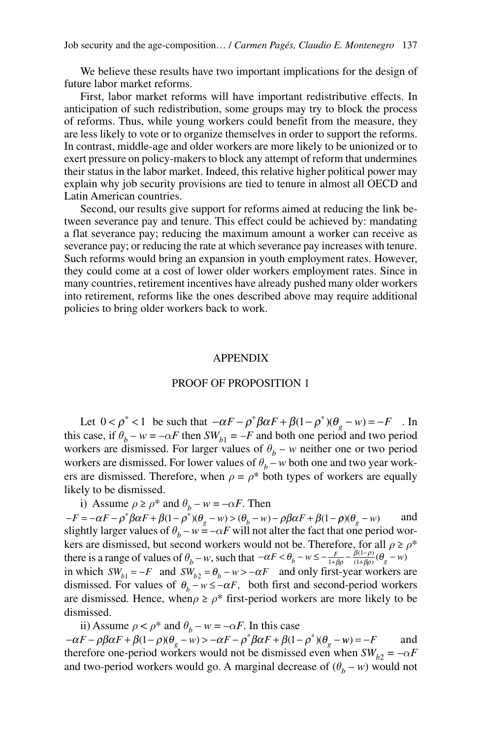We believe these results have two important implications for the design of future labor market reforms.

First, labor market reforms will have important redistributive effects. In anticipation of such redistribution, some groups may try to block the process of reforms. Thus, while young workers could benefit from the measure, they are less likely to vote or to organize themselves in order to support the reforms. In contrast, middle-age and older workers are more likely to be unionized or to exert pressure on policy-makers to block any attempt of reform that undermines their status in the labor market. Indeed, this relative higher political power may explain why job security provisions are tied to tenure in almost all OECD and Latin American countries.

Second, our results give support for reforms aimed at reducing the link between severance pay and tenure. This effect could be achieved by: mandating a flat severance pay; reducing the maximum amount a worker can receive as severance pay; or reducing the rate at which severance pay increases with tenure. Such reforms would bring an expansion in youth employment rates. However, they could come at a cost of lower older workers employment rates. Since in many countries, retirement incentives have already pushed many older workers into retirement, reforms like the ones described above may require additional policies to bring older workers back to work.

#### **APPENDIX**

## PROOF OF PROPOSITION 1

Let  $0 < \rho^* < 1$  be such that  $-\alpha F - \rho^* \beta \alpha F + \beta (1 - \rho^*) (\theta_g - w) = -F$ . In this case, if  $\theta_b - w = -\alpha F$  then  $SW_{b1} = -F$  and both one period and two period workers are dismissed. For larger values of  $\theta_b - w$  neither one or two period workers are dismissed. For lower values of  $\theta_b - w$  both one and two year workers are dismissed. Therefore, when  $\rho = \rho^*$  both types of workers are equally likely to be dismissed.

i) Assume  $\rho \ge \rho^*$  and  $\theta_b - w = -\alpha F$ . Then

 $-F = -\alpha F - \rho^* \beta \alpha F + \beta (1 - \rho^*) (\theta_g - w) > (\theta_b - w) - \rho \beta \alpha F + \beta (1 - \rho) (\theta_g - w)$  and slightly larger values of  $\theta_b - w = -\alpha F$  will not alter the fact that one period workers are dismissed, but second workers would not be. Therefore, for all  $\rho \ge \rho^*$ there is a range of values of  $\theta_b - w$ , such that  $-\alpha F < \theta_b - w \le -\frac{F}{1+\beta \rho} - \frac{\beta(1-\rho)}{(1+\beta \rho)} (\theta_g - w)$  $^{(1)}$  $\frac{\beta(1-\rho)}{(1+\beta\rho)}(\theta_g-w)$ in which  $SW_{b1} = -F$  and  $SW_{b2} = \theta_b - w > -\alpha F$  and only first-year workers are dismissed. For values of  $\theta_h - w \leq -\alpha F$ , both first and second-period workers are dismissed. Hence, when  $\rho \ge \rho^*$  first-period workers are more likely to be dismissed.

ii) Assume  $\rho < \rho^*$  and  $\theta_b - w = -\alpha F$ . In this case

 $-\alpha F - \rho \beta \alpha F + \beta (1 - \rho)(\theta_g - w) > -\alpha F - \rho^* \beta \alpha F + \beta (1 - \rho^*)(\theta_g - w) = -F$  and therefore one-period workers would not be dismissed even when  $SW_{b2} = -\alpha F$ and two-period workers would go. A marginal decrease of  $(\theta_b - w)$  would not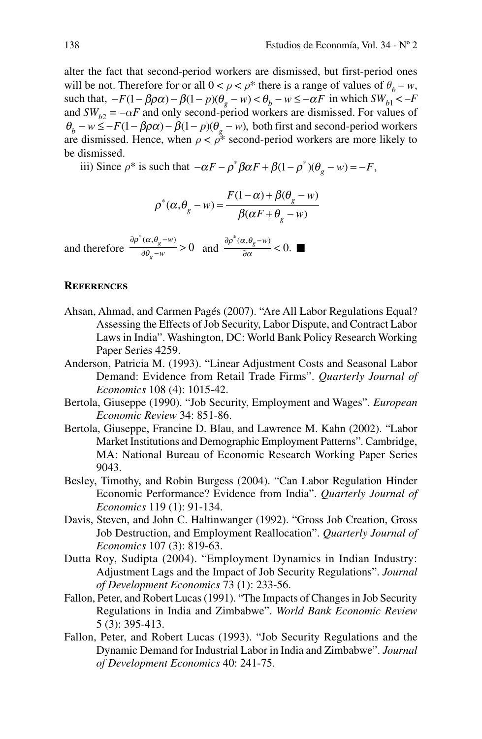alter the fact that second-period workers are dismissed, but first-period ones will be not. Therefore for or all  $0 < \rho < \rho^*$  there is a range of values of  $\theta_b - w$ , such that,  $-F(1-\beta \rho \alpha) - \beta(1-\rho)(\theta_g - w) < \theta_b - w \leq -\alpha F$  in which  $SW_{b_1} < -F$ and  $SW_{h2} = -\alpha F$  and only second-period workers are dismissed. For values of  $\theta_b - w \leq -F(1 - \beta \rho \alpha) - \beta(1 - p)(\theta_g - w)$ , both first and second-period workers are dismissed. Hence, when  $\rho < \rho^*$  second-period workers are more likely to be dismissed.

iii) Since  $\rho^*$  is such that  $-\alpha F - \rho^* \beta \alpha F + \beta (1 - \rho^*) (\theta_g - w) = -F$ ,

$$
\rho^*(\alpha, \theta_g - w) = \frac{F(1 - \alpha) + \beta(\theta_g - w)}{\beta(\alpha F + \theta_g - w)}
$$

and therefore  $\frac{\partial \rho^*(\alpha, \theta_g -)}{\partial \theta - w}$  $\partial \theta$ <sub>a</sub> –  $\frac{\rho^*(\alpha,\theta_g-w)}{2\theta-w}$ θ  $(\alpha, \theta_g - w)$ *g*  $\frac{g^{-w}}{w} > 0$  and  $\frac{\partial \rho^*(\alpha, \theta_g - \alpha)}{\partial \alpha}$ ∂  $\frac{\rho^*(\alpha,\theta_g-w)}{\log}$ α  $\frac{(\alpha, \theta_g - w)}{\alpha}$  < 0.

#### **References**

- Ahsan, Ahmad, and Carmen Pagés (2007). "Are All Labor Regulations Equal? Assessing the Effects of Job Security, Labor Dispute, and Contract Labor Laws in India". Washington, DC: World Bank Policy Research Working Paper Series 4259.
- Anderson, Patricia M. (1993). "Linear Adjustment Costs and Seasonal Labor Demand: Evidence from Retail Trade Firms". *Quarterly Journal of Economics* 108 (4): 1015-42.
- Bertola, Giuseppe (1990). "Job Security, Employment and Wages". *European Economic Review* 34: 851-86.
- Bertola, Giuseppe, Francine D. Blau, and Lawrence M. Kahn (2002). "Labor Market Institutions and Demographic Employment Patterns". Cambridge, MA: National Bureau of Economic Research Working Paper Series 9043.
- Besley, Timothy, and Robin Burgess (2004). "Can Labor Regulation Hinder Economic Performance? Evidence from India". *Quarterly Journal of Economics* 119 (1): 91-134.
- Davis, Steven, and John C. Haltinwanger (1992). "Gross Job Creation, Gross Job Destruction, and Employment Reallocation". *Quarterly Journal of Economics* 107 (3): 819-63.
- Dutta Roy, Sudipta (2004). "Employment Dynamics in Indian Industry: Adjustment Lags and the Impact of Job Security Regulations". *Journal of Development Economics* 73 (1): 233-56.
- Fallon, Peter, and Robert Lucas (1991). "The Impacts of Changes in Job Security Regulations in India and Zimbabwe". *World Bank Economic Review* 5 (3): 395-413.
- Fallon, Peter, and Robert Lucas (1993). "Job Security Regulations and the Dynamic Demand for Industrial Labor in India and Zimbabwe". *Journal of Development Economics* 40: 241-75.